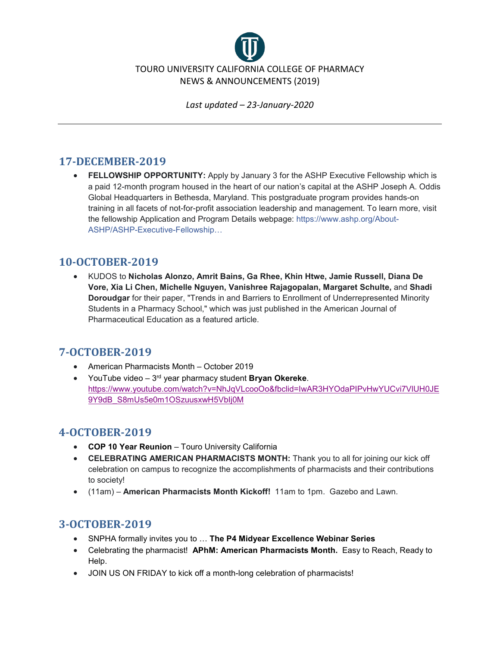

## **17-DECEMBER-2019**

• **FELLOWSHIP OPPORTUNITY:** Apply by January 3 for the ASHP Executive Fellowship which is a paid 12-month program housed in the heart of our nation's capital at the ASHP Joseph A. Oddis Global Headquarters in Bethesda, Maryland. This postgraduate program provides hands-on training in all facets of not-for-profit association leadership and management. To learn more, visit the fellowship Application and Program Details webpage: [https://www.ashp.org/About-](https://www.ashp.org/About-ASHP/ASHP-Executive-Fellowship?utm_source=Daily+Briefing&utm_medium=email&fbclid=IwAR1HvNu9_AV_kxBcUWMkW8JICsdCg1430uynwUblLL5fPHLbpvddrMtFa1U)[ASHP/ASHP-Executive-Fellowship…](https://www.ashp.org/About-ASHP/ASHP-Executive-Fellowship?utm_source=Daily+Briefing&utm_medium=email&fbclid=IwAR1HvNu9_AV_kxBcUWMkW8JICsdCg1430uynwUblLL5fPHLbpvddrMtFa1U)

## **10-OCTOBER-2019**

• KUDOS to **Nicholas Alonzo, Amrit Bains, Ga Rhee, Khin Htwe, Jamie Russell, Diana De Vore, Xia Li Chen, Michelle Nguyen, Vanishree Rajagopalan, Margaret Schulte,** and **Shadi Doroudgar** for their paper, "Trends in and Barriers to Enrollment of Underrepresented Minority Students in a Pharmacy School," which was just published in the American Journal of Pharmaceutical Education as a featured article.

## **7-OCTOBER-2019**

- American Pharmacists Month October 2019
- YouTube video 3rd year pharmacy student **Bryan Okereke**. [https://www.youtube.com/watch?v=NhJqVLcooOo&fbclid=IwAR3HYOdaPIPvHwYUCvi7VlUH0JE](https://www.youtube.com/watch?v=NhJqVLcooOo&fbclid=IwAR3HYOdaPIPvHwYUCvi7VlUH0JE9Y9dB_S8mUs5e0m1OSzuusxwH5VbIj0M) 9Y9dB\_S8mUs5e0m1OSzuusxwH5Vblj0M

# **4-OCTOBER-2019**

- **COP 10 Year Reunion** Touro University California
- **CELEBRATING AMERICAN PHARMACISTS MONTH:** Thank you to all for joining our kick off celebration on campus to recognize the accomplishments of pharmacists and their contributions to society!
- (11am) **American Pharmacists Month Kickoff!** 11am to 1pm. Gazebo and Lawn.

## **3-OCTOBER-2019**

- SNPHA formally invites you to … **The P4 Midyear Excellence Webinar Series**
- Celebrating the pharmacist! **APhM: American Pharmacists Month.** Easy to Reach, Ready to Help.
- JOIN US ON FRIDAY to kick off a month-long celebration of pharmacists!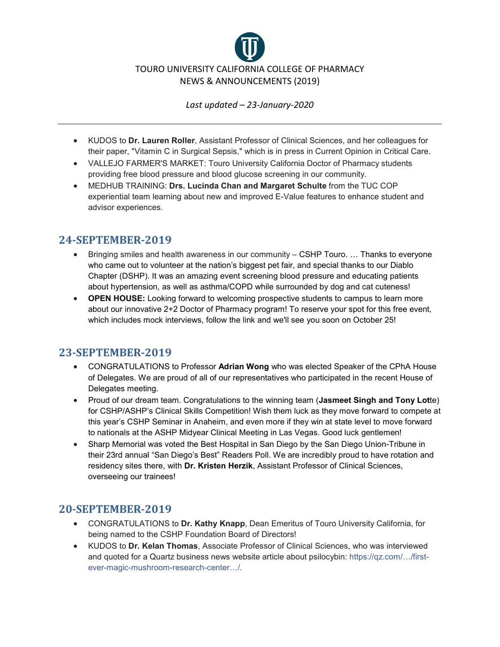

- KUDOS to **Dr. Lauren Roller**, Assistant Professor of Clinical Sciences, and her colleagues for their paper, "Vitamin C in Surgical Sepsis," which is in press in Current Opinion in Critical Care.
- VALLEJO FARMER'S MARKET: Touro University California Doctor of Pharmacy students providing free blood pressure and blood glucose screening in our community.
- MEDHUB TRAINING: **Drs. Lucinda Chan and Margaret Schulte** from the TUC COP experiential team learning about new and improved E-Value features to enhance student and advisor experiences.

#### **24-SEPTEMBER-2019**

- Bringing smiles and health awareness in our community CSHP Touro. … Thanks to everyone who came out to volunteer at the nation's biggest pet fair, and special thanks to our Diablo Chapter (DSHP). It was an amazing event screening blood pressure and educating patients about hypertension, as well as asthma/COPD while surrounded by dog and cat cuteness!
- **OPEN HOUSE:** Looking forward to welcoming prospective students to campus to learn more about our innovative 2+2 Doctor of Pharmacy program! To reserve your spot for this free event, which includes mock interviews, follow the link and we'll see you soon on October 25!

## **23-SEPTEMBER-2019**

- CONGRATULATIONS to Professor **Adrian Wong** who was elected Speaker of the CPhA House of Delegates. We are proud of all of our representatives who participated in the recent House of Delegates meeting.
- Proud of our dream team. Congratulations to the winning team (**Jasmeet Singh and Tony Lot**te) for CSHP/ASHP's Clinical Skills Competition! Wish them luck as they move forward to compete at this year's CSHP Seminar in Anaheim, and even more if they win at state level to move forward to nationals at the ASHP Midyear Clinical Meeting in Las Vegas. Good luck gentlemen!
- Sharp Memorial was voted the Best Hospital in San Diego by the San Diego Union-Tribune in their 23rd annual "San Diego's Best" Readers Poll. We are incredibly proud to have rotation and residency sites there, with **Dr. Kristen Herzik**, Assistant Professor of Clinical Sciences, overseeing our trainees!

## **20-SEPTEMBER-2019**

- CONGRATULATIONS to **Dr. Kathy Knapp**, Dean Emeritus of Touro University California, for being named to the CSHP Foundation Board of Directors!
- KUDOS to **Dr. Kelan Thomas**, Associate Professor of Clinical Sciences, who was interviewed and quoted for a Quartz business news website article about psilocybin: [https://qz.com/…/first](https://qz.com/1710787/first-ever-magic-mushroom-research-center-is-launching-in-jamaica/?fbclid=IwAR1-VERnPtknzqDToyajrquzOnSQanpUtCFiwN93BKcby77xHXKMgz1fF4Q)[ever-magic-mushroom-research-center…/.](https://qz.com/1710787/first-ever-magic-mushroom-research-center-is-launching-in-jamaica/?fbclid=IwAR1-VERnPtknzqDToyajrquzOnSQanpUtCFiwN93BKcby77xHXKMgz1fF4Q)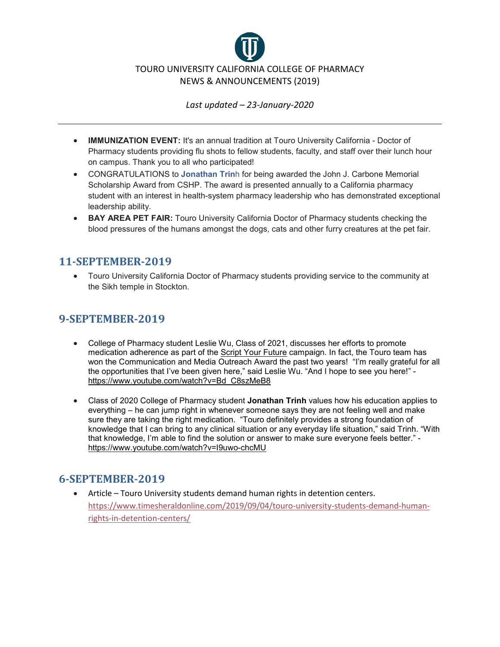

- **IMMUNIZATION EVENT:** It's an annual tradition at Touro University California Doctor of Pharmacy students providing flu shots to fellow students, faculty, and staff over their lunch hour on campus. Thank you to all who participated!
- CONGRATULATIONS to **[Jonathan Trin](https://www.facebook.com/aznflameboy92?__tn__=%2CdK-R-R&eid=ARAMdoJxD9fDIaeEmVfWbaTYoP9nRmpDxkA0GfdIFRo6I48MUURz0JQH4PgMlLuOsqcVCSg-6Y8JQmjw&fref=mentions)**h for being awarded the John J. Carbone Memorial Scholarship Award from CSHP. The award is presented annually to a California pharmacy student with an interest in health-system pharmacy leadership who has demonstrated exceptional leadership ability.
- **BAY AREA PET FAIR:** Touro University California Doctor of Pharmacy students checking the blood pressures of the humans amongst the dogs, cats and other furry creatures at the pet fair.

#### **11-SEPTEMBER-2019**

• Touro University California Doctor of Pharmacy students providing service to the community at the Sikh temple in Stockton.

#### **9-SEPTEMBER-2019**

- College of Pharmacy student Leslie Wu, Class of 2021, discusses her efforts to promote medication adherence as part of the [Script Your Future](https://www.facebook.com/ScriptYourFuture/?__tn__=KH-R&eid=ARClOsvLhYKxWV7RjU4XOGJy0oK-6PZIPLOqzeAFmiHb8DleZL-S9fKtHfriJjs4B4vlAUzjIxtaJMyU&fref=mentions&__xts__%5B0%5D=68.ARCL9xgrufy5EYy7cj4UN3l6AXb5HlXGxGfsetFkpififA9eePU0Bufs0ncUHMpM4FnAWotoL6j-OtstkPljqketNrKUxgXTIZtQMZ36spTbJXowSUausur7F-pql89pL6skXxWS4Rb_Pp8cSLW6Sh2wMawGTy__ctuU9zmWLNFd9LcE6Xo5HQogOr-wYNz49pSrr51jOceN9i-cjNHU16LYH_dUqCuihxK5zcfatiwpqimyMbB10tDV6PA54xRZ8Nc4U6tlyCTc1G_UU-jCG2h7KrygWDoDsqrtJn0mJxa_BShD13txdFgAvvdrafO_rdZBCsKFbaiDKp3UQcxFd0pFCvxwqcj3y9406KhUeA6jNmBQYse8lzX4wZJ34zn4K1tzWVOK5pTJy7zrSA8tF-DlCIyF4hBo6NiBuZyzPi9iiqBjLg4QvcozAw) campaign. In fact, the Touro team has won the Communication and Media Outreach Award the past two years! "I'm really grateful for all the opportunities that I've been given here," said Leslie Wu. "And I hope to see you here!" [https://www.youtube.com/watch?v=Bd\\_C8szMeB8](https://l.facebook.com/l.php?u=https%3A%2F%2Fwww.youtube.com%2Fwatch%3Fv%3DBd_C8szMeB8%26fbclid%3DIwAR0P1Zz7qbWB9a6OrVs7sQKkmC0gCUDAaabHxggW4EtASZBD3pF1CoaLnCo&h=AT3tr9V1Z6m1r1oACqpuZJGz3-P_t9EHOgDNzg6xSbfV77RMoHuEnoSwmEEjZnAFhezZRo1mjKcwtVz3I_SZCx3Ezq2ncEIFSdNp6Zjywun6wx1xglKIS_udp8UI7rKl_jiwyckIFsz0MGdnGr-UW6NXbhh6I2uvak9Wd0VhoBT-EyEneQ5U_8CGQKG-LZdXMYaEXrk8NO9I5UzTO-bBMgAGG4d3ebWVlokoLQgq8E-3Vd6lzMOfeLj3oULTJpt5A1OvQPxIouJOHNQGIrlA6nfunvS53bYmdORUhAXfWGw5lMqQyRf7yac98pxfJXkEKHBSl96WfxH-j1BXT8ZNWzSBo5Dwl3uRnUhdJELbJ2nWYVunf8h0QIteQJ6c8J4OqdtGAnuTV1s5j6ANCLF85ZVmNmw6HkgcbLy3tl2xVyRfxq4mWzTaHCEcO-CNqkmkUTrK36AhyDMX_Yb1h13EtBwEz1CnDRqENyasddbVOZc5WsbBKOQh0OgdZHDsII6PJLFYW4UxQyY2kWnG4T7ujGq_CbSKgtZ5HjflinJw6bnjKhxy5STXCvvIQ0KwKbSqp4DL9-alG0ItFuqDxGS8ZoH36cDvqLhv1I35RyOEqkTYXe9WXAi2dcs9Z03NRb7A_bTN-1yyPhwFkU_ing_AqLPIkArEVLXdQfy5S4io9OSn3EZpuRIn7eLHehqOREP14VePJjgckAR5o4T-dDsSYaqREy3-EDOC_Loo4u7fPeDPcMzBTfKJFU8GB_KMrEnwTIdv2Q)
- Class of 2020 College of Pharmacy student **Jonathan Trinh** values how his education applies to everything – he can jump right in whenever someone says they are not feeling well and make sure they are taking the right medication. "Touro definitely provides a strong foundation of knowledge that I can bring to any clinical situation or any everyday life situation," said Trinh. "With that knowledge, I'm able to find the solution or answer to make sure everyone feels better." [https://www.youtube.com/watch?v=I9uwo-chcMU](https://www.youtube.com/watch?v=I9uwo-chcMU&fbclid=IwAR2aVXDlIVP7aVG7eGNUFYQgdFb7zesbYOEejHVOgICrrTXQSmdyVICsNDA)

#### **6-SEPTEMBER-2019**

• Article – Touro University students demand human rights in detention centers. [https://www.timesheraldonline.com/2019/09/04/touro-university-students-demand-human](https://www.timesheraldonline.com/2019/09/04/touro-university-students-demand-human-rights-in-detention-centers/)[rights-in-detention-centers/](https://www.timesheraldonline.com/2019/09/04/touro-university-students-demand-human-rights-in-detention-centers/)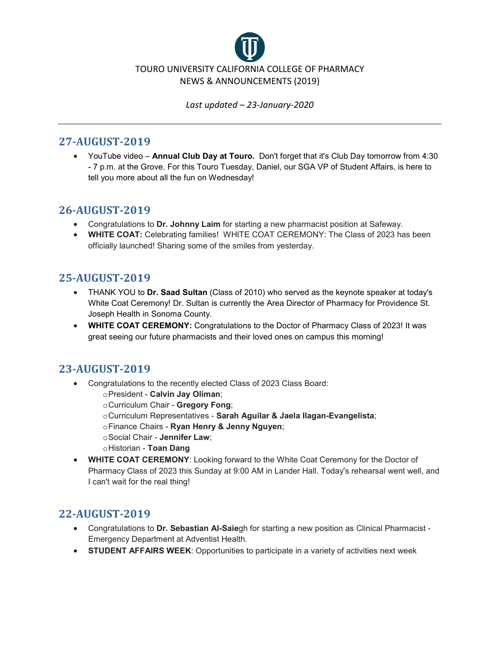

#### **27-AUGUST-2019**

• YouTube video – **Annual Club Day at Touro.** Don't forget that it's Club Day tomorrow from 4:30 - 7 p.m. at the Grove. For this Touro Tuesday, Daniel, our SGA VP of Student Affairs, is here to tell you more about all the fun on Wednesday!

## **26-AUGUST-2019**

- Congratulations to **Dr. Johnny Laim** for starting a new pharmacist position at Safeway.
- **WHITE COAT:** Celebrating families! WHITE COAT CEREMONY: The Class of 2023 has been officially launched! Sharing some of the smiles from yesterday.

## **25-AUGUST-2019**

- THANK YOU to **Dr. Saad Sultan** (Class of 2010) who served as the keynote speaker at today's White Coat Ceremony! Dr. Sultan is currently the Area Director of Pharmacy for Providence St. Joseph Health in Sonoma County.
- **WHITE COAT CEREMONY:** Congratulations to the Doctor of Pharmacy Class of 2023! It was great seeing our future pharmacists and their loved ones on campus this morning!

# **23-AUGUST-2019**

- Congratulations to the recently elected Class of 2023 Class Board:
	- oPresident **Calvin Jay Oliman**;
	- oCurriculum Chair **Gregory Fong**;
	- oCurriculum Representatives **Sarah Aguilar & Jaela Ilagan-Evangelista**;
	- oFinance Chairs **Ryan Henry & Jenny Nguyen**;
	- oSocial Chair **Jennifer Law**;
	- oHistorian **Toan Dang**
- **WHITE COAT CEREMONY**: Looking forward to the White Coat Ceremony for the Doctor of Pharmacy Class of 2023 this Sunday at 9:00 AM in Lander Hall. Today's rehearsal went well, and I can't wait for the real thing!

# **22-AUGUST-2019**

- Congratulations to **Dr. Sebastian Al-Saie**gh for starting a new position as Clinical Pharmacist Emergency Department at Adventist Health.
- **STUDENT AFFAIRS WEEK**: Opportunities to participate in a variety of activities next week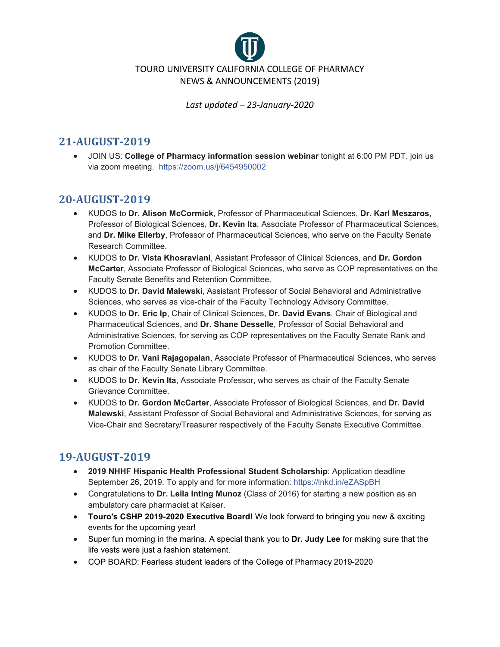

#### **21-AUGUST-2019**

• JOIN US: **College of Pharmacy information session webinar** tonight at 6:00 PM PDT. join us via zoom meeting. [https://zoom.us/j/6454950002](https://zoom.us/j/6454950002?fbclid=IwAR13DIn31qGLU-9-1WAbrytI4UiBV9gdbYciP9v3b0AXq-73ZQCEqgGPmvo)

#### **20-AUGUST-2019**

- KUDOS to **Dr. Alison McCormick**, Professor of Pharmaceutical Sciences, **Dr. Karl Meszaros**, Professor of Biological Sciences, **Dr. Kevin Ita**, Associate Professor of Pharmaceutical Sciences, and **Dr. Mike Ellerby**, Professor of Pharmaceutical Sciences, who serve on the Faculty Senate Research Committee.
- KUDOS to **Dr. Vista Khosraviani**, Assistant Professor of Clinical Sciences, and **Dr. Gordon McCarter**, Associate Professor of Biological Sciences, who serve as COP representatives on the Faculty Senate Benefits and Retention Committee.
- KUDOS to **Dr. David Malewski**, Assistant Professor of Social Behavioral and Administrative Sciences, who serves as vice-chair of the Faculty Technology Advisory Committee.
- KUDOS to **Dr. Eric Ip**, Chair of Clinical Sciences, **Dr. David Evans**, Chair of Biological and Pharmaceutical Sciences, and **Dr. Shane Desselle**, Professor of Social Behavioral and Administrative Sciences, for serving as COP representatives on the Faculty Senate Rank and Promotion Committee.
- KUDOS to **Dr. Vani Rajagopalan**, Associate Professor of Pharmaceutical Sciences, who serves as chair of the Faculty Senate Library Committee.
- KUDOS to **Dr. Kevin Ita**, Associate Professor, who serves as chair of the Faculty Senate Grievance Committee.
- KUDOS to **Dr. Gordon McCarter**, Associate Professor of Biological Sciences, and **Dr. David Malewski**, Assistant Professor of Social Behavioral and Administrative Sciences, for serving as Vice-Chair and Secretary/Treasurer respectively of the Faculty Senate Executive Committee.

# **19-AUGUST-2019**

- **2019 NHHF Hispanic Health Professional Student Scholarship**: Application deadline September 26, 2019. To apply and for more information: [https://lnkd.in/eZASpBH](https://lnkd.in/eZASpBH?fbclid=IwAR24Uk5O2ZnHsaytIECWg_vMwu9elMviBzG8qeBn9AwesYVuSHZH8NBSk10)
- Congratulations to **Dr. Leila Inting Munoz** (Class of 2016) for starting a new position as an ambulatory care pharmacist at Kaiser.
- **Touro's CSHP 2019-2020 Executive Board!** We look forward to bringing you new & exciting events for the upcoming year!
- Super fun morning in the marina. A special thank you to **Dr. Judy Lee** for making sure that the life vests were just a fashion statement.
- COP BOARD: Fearless student leaders of the College of Pharmacy 2019-2020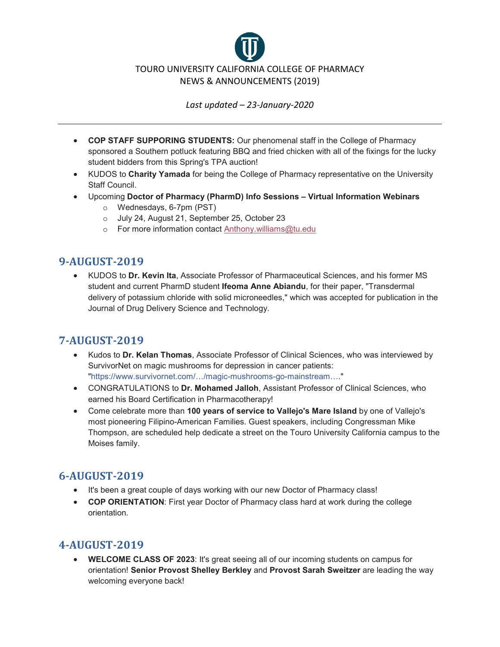

- **COP STAFF SUPPORING STUDENTS:** Our phenomenal staff in the College of Pharmacy sponsored a Southern potluck featuring BBQ and fried chicken with all of the fixings for the lucky student bidders from this Spring's TPA auction!
- KUDOS to **Charity Yamada** for being the College of Pharmacy representative on the University Staff Council.
- Upcoming **Doctor of Pharmacy (PharmD) Info Sessions – Virtual Information Webinars**
	- o Wednesdays, 6-7pm (PST)
	- o July 24, August 21, September 25, October 23
	- o For more information contact [Anthony.williams@tu.edu](mailto:Anthony.williams@tu.edu)

# **9-AUGUST-2019**

• KUDOS to **Dr. Kevin Ita**, Associate Professor of Pharmaceutical Sciences, and his former MS student and current PharmD student **Ifeoma Anne Abiandu**, for their paper, "Transdermal delivery of potassium chloride with solid microneedles," which was accepted for publication in the Journal of Drug Delivery Science and Technology.

# **7-AUGUST-2019**

- Kudos to **Dr. Kelan Thomas**, Associate Professor of Clinical Sciences, who was interviewed by SurvivorNet on magic mushrooms for depression in cancer patients: ["https://www.survivornet.com/…/magic-mushrooms-go-mainstream….](https://www.survivornet.com/articles/magic-mushrooms-go-mainstream-can-they-help-cancer-patients-with-depression?fbclid=IwAR0WQMnJnCJAPLGZlr8xOa58_Rz5s9Qn1XmPJoN79F5wPd7bsCAZqBi3z9o)"
- CONGRATULATIONS to **Dr. Mohamed Jalloh**, Assistant Professor of Clinical Sciences, who earned his Board Certification in Pharmacotherapy!
- Come celebrate more than **100 years of service to Vallejo's Mare Island** by one of Vallejo's most pioneering Filipino-American Families. Guest speakers, including Congressman Mike Thompson, are scheduled help dedicate a street on the Touro University California campus to the Moises family.

# **6-AUGUST-2019**

- It's been a great couple of days working with our new Doctor of Pharmacy class!
- **COP ORIENTATION**: First year Doctor of Pharmacy class hard at work during the college orientation.

# **4-AUGUST-2019**

• **WELCOME CLASS OF 2023**: It's great seeing all of our incoming students on campus for orientation! **Senior Provost Shelley Berkley** and **Provost Sarah Sweitzer** are leading the way welcoming everyone back!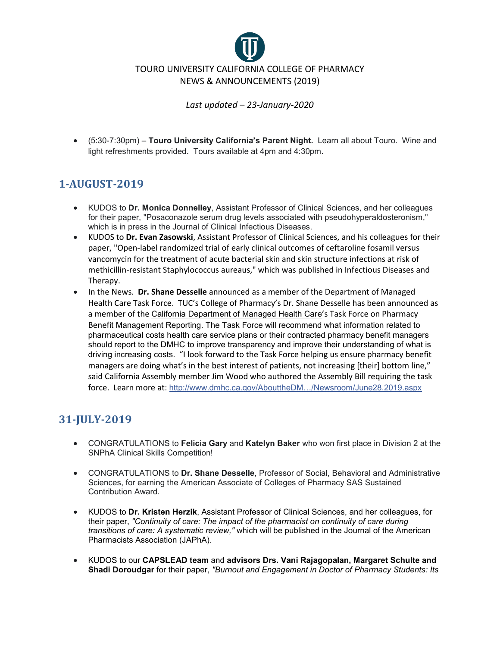

• (5:30-7:30pm) – **Touro University California's Parent Night.** Learn all about Touro. Wine and light refreshments provided. Tours available at 4pm and 4:30pm.

# **1-AUGUST-2019**

- KUDOS to **Dr. Monica Donnelley**, Assistant Professor of Clinical Sciences, and her colleagues for their paper, "Posaconazole serum drug levels associated with pseudohyperaldosteronism," which is in press in the Journal of Clinical Infectious Diseases.
- KUDOS to **Dr. Evan Zasowski**, Assistant Professor of Clinical Sciences, and his colleagues for their paper, "Open-label randomized trial of early clinical outcomes of ceftaroline fosamil versus vancomycin for the treatment of acute bacterial skin and skin structure infections at risk of methicillin-resistant Staphylococcus aureaus," which was published in Infectious Diseases and Therapy.
- In the News. **Dr. Shane Desselle** announced as a member of the Department of Managed Health Care Task Force. TUC's College of Pharmacy's Dr. Shane Desselle has been announced as a member of the [California Department of Managed Health Care](https://www.facebook.com/CaliforniaDMHC/?__tn__=KH-R&eid=ARBwXzr1Fcsj-N186JRuMfS1m2CZFVom9GOUF-qtqYnxVkQfiMuQ-UDLnJHfQjZR1MefEVdkk8nmfJ1c&fref=mentions&__xts__%5B0%5D=68.ARBS57fzfAHLfPN8i1oJRcRvp4j79CXm_GP2joxHZ1q4_6lXamXbsrN49Qh9FJz6tIVWht1cPC9bh_c22-4aePMf7aEgNW4iKlWVJg8Jz7WtfYAL2EShmbGoio1loRH-rBBteSFlFa1TTY1cIYpT_ttcoFct8_W6UAPyEGhEbRF5vFPANpr1ZKI-3ov24wjJAUYWg2aqfehLGVYQ2vXAEseIih46prz1GemmgZjfGsaE6SFd-NlUCX0gOxvV1EboMAkUsMs3FtCnvc4ZTwKN92fIBafXeHb9jsw7_wUbxuo_cffvQVwMcpDX2wh_eHlf8IP1eBcjRB7uALhOHNIxOYdN)'s Task Force on Pharmacy Benefit Management Reporting. The Task Force will recommend what information related to pharmaceutical costs health care service plans or their contracted pharmacy benefit managers should report to the DMHC to improve transparency and improve their understanding of what is driving increasing costs. "I look forward to the Task Force helping us ensure pharmacy benefit managers are doing what's in the best interest of patients, not increasing [their] bottom line," said California Assembly member Jim Wood who authored the Assembly Bill requiring the task force. Learn more at: [http://www.dmhc.ca.gov/AbouttheDM…/Newsroom/June28,2019.aspx](http://www.dmhc.ca.gov/AbouttheDMHC/Newsroom/June28,2019.aspx?fbclid=IwAR20p-NdQEWEMyKVu8QSLia0Rrqw5P7n8JK57P0b9F0Ox204s-84iCeIEvE)

# **31-JULY-2019**

- CONGRATULATIONS to **Felicia Gary** and **Katelyn Baker** who won first place in Division 2 at the SNPhA Clinical Skills Competition!
- CONGRATULATIONS to **Dr. Shane Desselle**, Professor of Social, Behavioral and Administrative Sciences, for earning the American Associate of Colleges of Pharmacy SAS Sustained Contribution Award.
- KUDOS to **Dr. [Kristen Herzik](https://www.facebook.com/kristen.herzik?__tn__=%2CdK-R-R&eid=ARCeY7KUR-OMEJtBBiIplerVf5HpnqS9vNYnQboRaNeYwmqMcXiE3aMYQDOVvQz998eSpfVpGnuO8A9D&fref=mentions)**, Assistant Professor of Clinical Sciences, and her colleagues, for their paper, *"Continuity of care: The impact of the pharmacist on continuity of care during transitions of care: A systematic review,"* which will be published in the Journal of the American Pharmacists Association (JAPhA).
- KUDOS to our **CAPSLEAD team** and **advisors Drs. Vani Rajagopalan, Margaret Schulte and Shadi Doroudgar** for their paper, *"Burnout and Engagement in Doctor of Pharmacy Students: Its*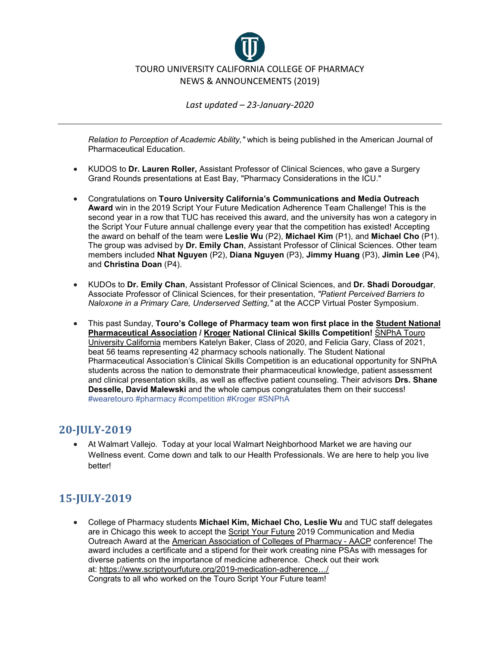

*Relation to Perception of Academic Ability,"* which is being published in the American Journal of Pharmaceutical Education.

- KUDOS to **Dr. Lauren Roller,** Assistant Professor of Clinical Sciences, who gave a Surgery Grand Rounds presentations at East Bay, "Pharmacy Considerations in the ICU."
- Congratulations on **Touro University California's Communications and Media Outreach Award** win in the 2019 Script Your Future Medication Adherence Team Challenge! This is the second year in a row that TUC has received this award, and the university has won a category in the Script Your Future annual challenge every year that the competition has existed! Accepting the award on behalf of the team were **Leslie Wu** (P2), **Michael Kim** (P1), and **Michael Cho** (P1). The group was advised by **Dr. Emily Chan**, Assistant Professor of Clinical Sciences. Other team members included **Nhat Nguyen** (P2), **Diana Nguyen** (P3), **Jimmy Huang** (P3), **Jimin Lee** (P4), and **Christina Doan** (P4).
- KUDOs to **Dr. Emily Chan**, Assistant Professor of Clinical Sciences, and **Dr. Shadi Doroudgar**, Associate Professor of Clinical Sciences, for their presentation, *"Patient Perceived Barriers to Naloxone in a Primary Care, Underserved Setting,"* at the ACCP Virtual Poster Symposium.
- This past Sunday, **Touro's College of Pharmacy team won first place in the [Student National](https://www.facebook.com/snpha/?__tn__=KH-R&eid=ARAaB9t9VJXYNSw16SjPPKMa1wNZTNbP2y_x6v-efreb0NWyuMF-LhCfm4-t-02Yo1qhITnsQg17qc4L&fref=mentions&__xts__%5B0%5D=68.ARBpZZKMQVNriuHDzj9_MojImJ1OWe99eI3Udoe50zKgWNgyL2DJbW5adqd31v_eb6JIhfRscJwMsLhO3UmULtvP7MrnU3aGrSJ9zeqm4-Raked2uJj4plfzQ0M9BB6DvlZ-3jIu7qMLKMg4XM2_Uy74k40tN3CoyfjR-z7ygeK56Jd3_eoiY1cwN3g90xb693qMIOLSJByLdE_GYa5jcaVEz0N-pShIhWkhWeRRmjIdecIpEFq8ZmrOS42Cf7BGLJEhSGnvieg2ODKDI8fIS7BG66DZe-9kaXlt4LOypwo8tVRzqn9PIp6yFbnncfZ0di19xvJIw-cUfDwlcBbRWbtM)  [Pharmaceutical Association](https://www.facebook.com/snpha/?__tn__=KH-R&eid=ARAaB9t9VJXYNSw16SjPPKMa1wNZTNbP2y_x6v-efreb0NWyuMF-LhCfm4-t-02Yo1qhITnsQg17qc4L&fref=mentions&__xts__%5B0%5D=68.ARBpZZKMQVNriuHDzj9_MojImJ1OWe99eI3Udoe50zKgWNgyL2DJbW5adqd31v_eb6JIhfRscJwMsLhO3UmULtvP7MrnU3aGrSJ9zeqm4-Raked2uJj4plfzQ0M9BB6DvlZ-3jIu7qMLKMg4XM2_Uy74k40tN3CoyfjR-z7ygeK56Jd3_eoiY1cwN3g90xb693qMIOLSJByLdE_GYa5jcaVEz0N-pShIhWkhWeRRmjIdecIpEFq8ZmrOS42Cf7BGLJEhSGnvieg2ODKDI8fIS7BG66DZe-9kaXlt4LOypwo8tVRzqn9PIp6yFbnncfZ0di19xvJIw-cUfDwlcBbRWbtM) / [Kroger](https://www.facebook.com/Kroger/?__tn__=KH-R&eid=ARDc_joyjHSzJcbQpb5COTtQM1gfPn9ryVLul544dhGwaBxJWHfE7w9XpqanE5S4D4WzCYczeEAZlXHq&fref=mentions&__xts__%5B0%5D=68.ARBpZZKMQVNriuHDzj9_MojImJ1OWe99eI3Udoe50zKgWNgyL2DJbW5adqd31v_eb6JIhfRscJwMsLhO3UmULtvP7MrnU3aGrSJ9zeqm4-Raked2uJj4plfzQ0M9BB6DvlZ-3jIu7qMLKMg4XM2_Uy74k40tN3CoyfjR-z7ygeK56Jd3_eoiY1cwN3g90xb693qMIOLSJByLdE_GYa5jcaVEz0N-pShIhWkhWeRRmjIdecIpEFq8ZmrOS42Cf7BGLJEhSGnvieg2ODKDI8fIS7BG66DZe-9kaXlt4LOypwo8tVRzqn9PIp6yFbnncfZ0di19xvJIw-cUfDwlcBbRWbtM) National Clinical Skills Competition!** [SNPhA Touro](https://www.facebook.com/snphatuca/?__tn__=KH-R&eid=ARB7OQEnZkoJogx33NT-47h_bid_PluNlNHpUdnMbB0IvyOSnOnuU82Sc521D3KonLV1jDqdi3o78twr&fref=mentions&__xts__%5B0%5D=68.ARBpZZKMQVNriuHDzj9_MojImJ1OWe99eI3Udoe50zKgWNgyL2DJbW5adqd31v_eb6JIhfRscJwMsLhO3UmULtvP7MrnU3aGrSJ9zeqm4-Raked2uJj4plfzQ0M9BB6DvlZ-3jIu7qMLKMg4XM2_Uy74k40tN3CoyfjR-z7ygeK56Jd3_eoiY1cwN3g90xb693qMIOLSJByLdE_GYa5jcaVEz0N-pShIhWkhWeRRmjIdecIpEFq8ZmrOS42Cf7BGLJEhSGnvieg2ODKDI8fIS7BG66DZe-9kaXlt4LOypwo8tVRzqn9PIp6yFbnncfZ0di19xvJIw-cUfDwlcBbRWbtM)  [University California](https://www.facebook.com/snphatuca/?__tn__=KH-R&eid=ARB7OQEnZkoJogx33NT-47h_bid_PluNlNHpUdnMbB0IvyOSnOnuU82Sc521D3KonLV1jDqdi3o78twr&fref=mentions&__xts__%5B0%5D=68.ARBpZZKMQVNriuHDzj9_MojImJ1OWe99eI3Udoe50zKgWNgyL2DJbW5adqd31v_eb6JIhfRscJwMsLhO3UmULtvP7MrnU3aGrSJ9zeqm4-Raked2uJj4plfzQ0M9BB6DvlZ-3jIu7qMLKMg4XM2_Uy74k40tN3CoyfjR-z7ygeK56Jd3_eoiY1cwN3g90xb693qMIOLSJByLdE_GYa5jcaVEz0N-pShIhWkhWeRRmjIdecIpEFq8ZmrOS42Cf7BGLJEhSGnvieg2ODKDI8fIS7BG66DZe-9kaXlt4LOypwo8tVRzqn9PIp6yFbnncfZ0di19xvJIw-cUfDwlcBbRWbtM) members Katelyn Baker, Class of 2020, and Felicia Gary, Class of 2021, beat 56 teams representing 42 pharmacy schools nationally. The Student National Pharmaceutical Association's Clinical Skills Competition is an educational opportunity for SNPhA students across the nation to demonstrate their pharmaceutical knowledge, patient assessment and clinical presentation skills, as well as effective patient counseling. Their advisors **Drs. Shane Desselle, David Malewski** and the whole campus congratulates them on their success! [#wearetouro](https://www.facebook.com/hashtag/wearetouro?source=feed_text&epa=HASHTAG&__xts__%5B0%5D=68.ARBpZZKMQVNriuHDzj9_MojImJ1OWe99eI3Udoe50zKgWNgyL2DJbW5adqd31v_eb6JIhfRscJwMsLhO3UmULtvP7MrnU3aGrSJ9zeqm4-Raked2uJj4plfzQ0M9BB6DvlZ-3jIu7qMLKMg4XM2_Uy74k40tN3CoyfjR-z7ygeK56Jd3_eoiY1cwN3g90xb693qMIOLSJByLdE_GYa5jcaVEz0N-pShIhWkhWeRRmjIdecIpEFq8ZmrOS42Cf7BGLJEhSGnvieg2ODKDI8fIS7BG66DZe-9kaXlt4LOypwo8tVRzqn9PIp6yFbnncfZ0di19xvJIw-cUfDwlcBbRWbtM&__tn__=%2ANKH-R) [#pharmacy](https://www.facebook.com/hashtag/pharmacy?source=feed_text&epa=HASHTAG&__xts__%5B0%5D=68.ARBpZZKMQVNriuHDzj9_MojImJ1OWe99eI3Udoe50zKgWNgyL2DJbW5adqd31v_eb6JIhfRscJwMsLhO3UmULtvP7MrnU3aGrSJ9zeqm4-Raked2uJj4plfzQ0M9BB6DvlZ-3jIu7qMLKMg4XM2_Uy74k40tN3CoyfjR-z7ygeK56Jd3_eoiY1cwN3g90xb693qMIOLSJByLdE_GYa5jcaVEz0N-pShIhWkhWeRRmjIdecIpEFq8ZmrOS42Cf7BGLJEhSGnvieg2ODKDI8fIS7BG66DZe-9kaXlt4LOypwo8tVRzqn9PIp6yFbnncfZ0di19xvJIw-cUfDwlcBbRWbtM&__tn__=%2ANKH-R) [#competition](https://www.facebook.com/hashtag/competition?source=feed_text&epa=HASHTAG&__xts__%5B0%5D=68.ARBpZZKMQVNriuHDzj9_MojImJ1OWe99eI3Udoe50zKgWNgyL2DJbW5adqd31v_eb6JIhfRscJwMsLhO3UmULtvP7MrnU3aGrSJ9zeqm4-Raked2uJj4plfzQ0M9BB6DvlZ-3jIu7qMLKMg4XM2_Uy74k40tN3CoyfjR-z7ygeK56Jd3_eoiY1cwN3g90xb693qMIOLSJByLdE_GYa5jcaVEz0N-pShIhWkhWeRRmjIdecIpEFq8ZmrOS42Cf7BGLJEhSGnvieg2ODKDI8fIS7BG66DZe-9kaXlt4LOypwo8tVRzqn9PIp6yFbnncfZ0di19xvJIw-cUfDwlcBbRWbtM&__tn__=%2ANKH-R) [#Kroger](https://www.facebook.com/hashtag/kroger?source=feed_text&epa=HASHTAG&__xts__%5B0%5D=68.ARBpZZKMQVNriuHDzj9_MojImJ1OWe99eI3Udoe50zKgWNgyL2DJbW5adqd31v_eb6JIhfRscJwMsLhO3UmULtvP7MrnU3aGrSJ9zeqm4-Raked2uJj4plfzQ0M9BB6DvlZ-3jIu7qMLKMg4XM2_Uy74k40tN3CoyfjR-z7ygeK56Jd3_eoiY1cwN3g90xb693qMIOLSJByLdE_GYa5jcaVEz0N-pShIhWkhWeRRmjIdecIpEFq8ZmrOS42Cf7BGLJEhSGnvieg2ODKDI8fIS7BG66DZe-9kaXlt4LOypwo8tVRzqn9PIp6yFbnncfZ0di19xvJIw-cUfDwlcBbRWbtM&__tn__=%2ANKH-R) [#SNPhA](https://www.facebook.com/hashtag/snpha?source=feed_text&epa=HASHTAG&__xts__%5B0%5D=68.ARBpZZKMQVNriuHDzj9_MojImJ1OWe99eI3Udoe50zKgWNgyL2DJbW5adqd31v_eb6JIhfRscJwMsLhO3UmULtvP7MrnU3aGrSJ9zeqm4-Raked2uJj4plfzQ0M9BB6DvlZ-3jIu7qMLKMg4XM2_Uy74k40tN3CoyfjR-z7ygeK56Jd3_eoiY1cwN3g90xb693qMIOLSJByLdE_GYa5jcaVEz0N-pShIhWkhWeRRmjIdecIpEFq8ZmrOS42Cf7BGLJEhSGnvieg2ODKDI8fIS7BG66DZe-9kaXlt4LOypwo8tVRzqn9PIp6yFbnncfZ0di19xvJIw-cUfDwlcBbRWbtM&__tn__=%2ANKH-R)

#### **20-JULY-2019**

• At Walmart Vallejo. Today at your local Walmart Neighborhood Market we are having our Wellness event. Come down and talk to our Health Professionals. We are here to help you live better!

# **15-JULY-2019**

• College of Pharmacy students **Michael Kim, Michael Cho, Leslie Wu** and TUC staff delegates are in Chicago this week to accept the [Script Your Future](https://www.facebook.com/ScriptYourFuture/?__tn__=KH-R&eid=ARAewwy_s_nLaQiIofIylBoPk_yzQc8k8WTOn1ViNWqY4N-USeA-n3nvyC_XfIB_txuPjnenoTcEG_Jn&fref=mentions&__xts__%5B0%5D=68.ARCDuNNRC-XNPmi79ovllNpFIfSQAAgg4pm6Gv69YoPlzKBj_4yVQm_pHjQ-1VRczzlazHjoj09-8bnypFxahgM5_1kZQJOapwehUXmVaH3vvJWHh-Qb0ilzzntG5iLdP51N3FJLhjlWyXKzEq0R8RoOsKKQ3y07qsibbgN6nov-C79s5Mp-tabVDB63cBq4g9w-7UCa-RH4JiqIEwv3ftftDc_Xbg05SzCcwse_M2VssWoRALIHH8SShDJcdrm1RS6ymZzKk_2Lcx_Uy6BsAzM0fkmfsXGUAP8VOR6ESek5Bx9yl39tSNYP1EPU3pXOqjUAJpUkdNvaHwjgc74bJ3mK) 2019 Communication and Media Outreach Award at the [American Association of Colleges of Pharmacy -](https://www.facebook.com/AACPharmacy/?__tn__=KH-R&eid=ARBnzvNxxjZHdM2z8nT0OpVXkLMIZCgDL8aTxuwoviJ0mVIoP04rB4HsztAWSo0lLWD7Ib9gh4Zg0wyb&fref=mentions&__xts__%5B0%5D=68.ARCDuNNRC-XNPmi79ovllNpFIfSQAAgg4pm6Gv69YoPlzKBj_4yVQm_pHjQ-1VRczzlazHjoj09-8bnypFxahgM5_1kZQJOapwehUXmVaH3vvJWHh-Qb0ilzzntG5iLdP51N3FJLhjlWyXKzEq0R8RoOsKKQ3y07qsibbgN6nov-C79s5Mp-tabVDB63cBq4g9w-7UCa-RH4JiqIEwv3ftftDc_Xbg05SzCcwse_M2VssWoRALIHH8SShDJcdrm1RS6ymZzKk_2Lcx_Uy6BsAzM0fkmfsXGUAP8VOR6ESek5Bx9yl39tSNYP1EPU3pXOqjUAJpUkdNvaHwjgc74bJ3mK) AACP conference! The award includes a certificate and a stipend for their work creating nine PSAs with messages for diverse patients on the importance of medicine adherence. Check out their work at: [https://www.scriptyourfuture.org/2019-medication-adherence…/](https://www.scriptyourfuture.org/2019-medication-adherence-team-challenge-winners/?fbclid=IwAR36OAN6AWvXzooB3-ueXOMriIHz-uAh6htPFMYifXedjmV36i10JAmGEN4) Congrats to all who worked on the Touro Script Your Future team!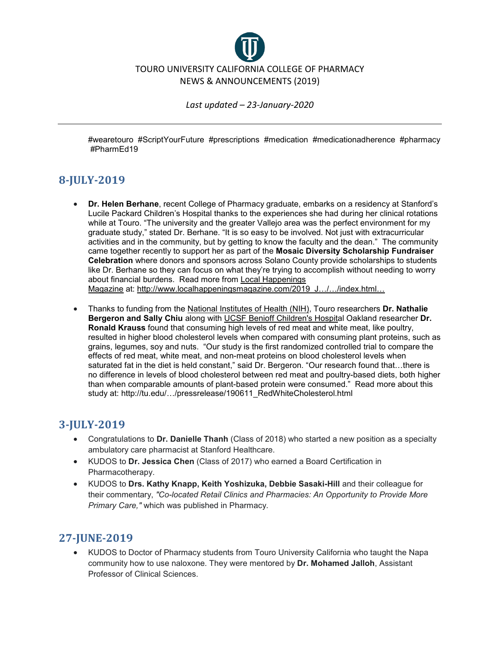

[#wearetouro](https://www.facebook.com/hashtag/wearetouro?source=feed_text&epa=HASHTAG&__xts__%5B0%5D=68.ARCDuNNRC-XNPmi79ovllNpFIfSQAAgg4pm6Gv69YoPlzKBj_4yVQm_pHjQ-1VRczzlazHjoj09-8bnypFxahgM5_1kZQJOapwehUXmVaH3vvJWHh-Qb0ilzzntG5iLdP51N3FJLhjlWyXKzEq0R8RoOsKKQ3y07qsibbgN6nov-C79s5Mp-tabVDB63cBq4g9w-7UCa-RH4JiqIEwv3ftftDc_Xbg05SzCcwse_M2VssWoRALIHH8SShDJcdrm1RS6ymZzKk_2Lcx_Uy6BsAzM0fkmfsXGUAP8VOR6ESek5Bx9yl39tSNYP1EPU3pXOqjUAJpUkdNvaHwjgc74bJ3mK&__tn__=%2ANKH-R) [#ScriptYourFuture](https://www.facebook.com/hashtag/scriptyourfuture?source=feed_text&epa=HASHTAG&__xts__%5B0%5D=68.ARCDuNNRC-XNPmi79ovllNpFIfSQAAgg4pm6Gv69YoPlzKBj_4yVQm_pHjQ-1VRczzlazHjoj09-8bnypFxahgM5_1kZQJOapwehUXmVaH3vvJWHh-Qb0ilzzntG5iLdP51N3FJLhjlWyXKzEq0R8RoOsKKQ3y07qsibbgN6nov-C79s5Mp-tabVDB63cBq4g9w-7UCa-RH4JiqIEwv3ftftDc_Xbg05SzCcwse_M2VssWoRALIHH8SShDJcdrm1RS6ymZzKk_2Lcx_Uy6BsAzM0fkmfsXGUAP8VOR6ESek5Bx9yl39tSNYP1EPU3pXOqjUAJpUkdNvaHwjgc74bJ3mK&__tn__=%2ANKH-R) [#prescriptions](https://www.facebook.com/hashtag/prescriptions?source=feed_text&epa=HASHTAG&__xts__%5B0%5D=68.ARCDuNNRC-XNPmi79ovllNpFIfSQAAgg4pm6Gv69YoPlzKBj_4yVQm_pHjQ-1VRczzlazHjoj09-8bnypFxahgM5_1kZQJOapwehUXmVaH3vvJWHh-Qb0ilzzntG5iLdP51N3FJLhjlWyXKzEq0R8RoOsKKQ3y07qsibbgN6nov-C79s5Mp-tabVDB63cBq4g9w-7UCa-RH4JiqIEwv3ftftDc_Xbg05SzCcwse_M2VssWoRALIHH8SShDJcdrm1RS6ymZzKk_2Lcx_Uy6BsAzM0fkmfsXGUAP8VOR6ESek5Bx9yl39tSNYP1EPU3pXOqjUAJpUkdNvaHwjgc74bJ3mK&__tn__=%2ANKH-R) [#medication](https://www.facebook.com/hashtag/medication?source=feed_text&epa=HASHTAG&__xts__%5B0%5D=68.ARCDuNNRC-XNPmi79ovllNpFIfSQAAgg4pm6Gv69YoPlzKBj_4yVQm_pHjQ-1VRczzlazHjoj09-8bnypFxahgM5_1kZQJOapwehUXmVaH3vvJWHh-Qb0ilzzntG5iLdP51N3FJLhjlWyXKzEq0R8RoOsKKQ3y07qsibbgN6nov-C79s5Mp-tabVDB63cBq4g9w-7UCa-RH4JiqIEwv3ftftDc_Xbg05SzCcwse_M2VssWoRALIHH8SShDJcdrm1RS6ymZzKk_2Lcx_Uy6BsAzM0fkmfsXGUAP8VOR6ESek5Bx9yl39tSNYP1EPU3pXOqjUAJpUkdNvaHwjgc74bJ3mK&__tn__=%2ANKH-R) [#medicationadherence](https://www.facebook.com/hashtag/medicationadherence?source=feed_text&epa=HASHTAG&__xts__%5B0%5D=68.ARCDuNNRC-XNPmi79ovllNpFIfSQAAgg4pm6Gv69YoPlzKBj_4yVQm_pHjQ-1VRczzlazHjoj09-8bnypFxahgM5_1kZQJOapwehUXmVaH3vvJWHh-Qb0ilzzntG5iLdP51N3FJLhjlWyXKzEq0R8RoOsKKQ3y07qsibbgN6nov-C79s5Mp-tabVDB63cBq4g9w-7UCa-RH4JiqIEwv3ftftDc_Xbg05SzCcwse_M2VssWoRALIHH8SShDJcdrm1RS6ymZzKk_2Lcx_Uy6BsAzM0fkmfsXGUAP8VOR6ESek5Bx9yl39tSNYP1EPU3pXOqjUAJpUkdNvaHwjgc74bJ3mK&__tn__=%2ANKH-R) [#pharmacy](https://www.facebook.com/hashtag/pharmacy?source=feed_text&epa=HASHTAG&__xts__%5B0%5D=68.ARCDuNNRC-XNPmi79ovllNpFIfSQAAgg4pm6Gv69YoPlzKBj_4yVQm_pHjQ-1VRczzlazHjoj09-8bnypFxahgM5_1kZQJOapwehUXmVaH3vvJWHh-Qb0ilzzntG5iLdP51N3FJLhjlWyXKzEq0R8RoOsKKQ3y07qsibbgN6nov-C79s5Mp-tabVDB63cBq4g9w-7UCa-RH4JiqIEwv3ftftDc_Xbg05SzCcwse_M2VssWoRALIHH8SShDJcdrm1RS6ymZzKk_2Lcx_Uy6BsAzM0fkmfsXGUAP8VOR6ESek5Bx9yl39tSNYP1EPU3pXOqjUAJpUkdNvaHwjgc74bJ3mK&__tn__=%2ANKH-R) [#PharmEd19](https://www.facebook.com/hashtag/pharmed19?source=feed_text&epa=HASHTAG&__xts__%5B0%5D=68.ARCDuNNRC-XNPmi79ovllNpFIfSQAAgg4pm6Gv69YoPlzKBj_4yVQm_pHjQ-1VRczzlazHjoj09-8bnypFxahgM5_1kZQJOapwehUXmVaH3vvJWHh-Qb0ilzzntG5iLdP51N3FJLhjlWyXKzEq0R8RoOsKKQ3y07qsibbgN6nov-C79s5Mp-tabVDB63cBq4g9w-7UCa-RH4JiqIEwv3ftftDc_Xbg05SzCcwse_M2VssWoRALIHH8SShDJcdrm1RS6ymZzKk_2Lcx_Uy6BsAzM0fkmfsXGUAP8VOR6ESek5Bx9yl39tSNYP1EPU3pXOqjUAJpUkdNvaHwjgc74bJ3mK&__tn__=%2ANKH-R)

## **8-JULY-2019**

- **Dr. Helen Berhane**, recent College of Pharmacy graduate, embarks on a residency at Stanford's Lucile Packard Children's Hospital thanks to the experiences she had during her clinical rotations while at Touro. "The university and the greater Vallejo area was the perfect environment for my graduate study," stated Dr. Berhane. "It is so easy to be involved. Not just with extracurricular activities and in the community, but by getting to know the faculty and the dean." The community came together recently to support her as part of the **Mosaic Diversity Scholarship Fundraiser Celebration** where donors and sponsors across Solano County provide scholarships to students like Dr. Berhane so they can focus on what they're trying to accomplish without needing to worry about financial burdens. Read more from [Local Happenings](https://www.facebook.com/LocalHappeningsMagazine/?__tn__=KH-R&eid=ARA6NhyrKw8kpNnO6jMDQi79ZiXJ9vsudfsMJc4-L6ktQOpQIErLUDVDoV0vev1oqfiJZpxNb06m91NW&fref=mentions&__xts__%5B0%5D=68.ARAb3sF5az8Tri-g_dH7BEck1kv3gEP8wM_KSIUMHUOd3yZeekfEXRMQbwxgGZ-Jp5J8JiwOhfxY3gNA1-jvIodExEagxuEnL4fzeskAyr1ZEnl6cQH-ZqCCuiN1wC-nnSsdvfdjv5PxlzoWZLDOv4U8YnBHuBy2ZUFNR13eq12lGD5EN6Z4ZNkuzjw2b6ik0aQiHVQCwG-Ek4k_kGenU_mxw7WGLfwUBQGXgL_0_gv8S_U6CVjBf9SqAnmEuMZqqKpijHuFZEkgI0CoTsZADoaGzTGeo03bjwv3YnG0xY97ZCXz0QQtcf1I3bK-IF79csljlU55dfwaqLUVIs4aEOYCRy4quLki-wji_fTh35Krz8N36waKZ0krQn89gy66YnFDdME3rGDHKuwA7ldbRho0mPMj9kYirvo_QbqIEL7zXQ)  [Magazine](https://www.facebook.com/LocalHappeningsMagazine/?__tn__=KH-R&eid=ARA6NhyrKw8kpNnO6jMDQi79ZiXJ9vsudfsMJc4-L6ktQOpQIErLUDVDoV0vev1oqfiJZpxNb06m91NW&fref=mentions&__xts__%5B0%5D=68.ARAb3sF5az8Tri-g_dH7BEck1kv3gEP8wM_KSIUMHUOd3yZeekfEXRMQbwxgGZ-Jp5J8JiwOhfxY3gNA1-jvIodExEagxuEnL4fzeskAyr1ZEnl6cQH-ZqCCuiN1wC-nnSsdvfdjv5PxlzoWZLDOv4U8YnBHuBy2ZUFNR13eq12lGD5EN6Z4ZNkuzjw2b6ik0aQiHVQCwG-Ek4k_kGenU_mxw7WGLfwUBQGXgL_0_gv8S_U6CVjBf9SqAnmEuMZqqKpijHuFZEkgI0CoTsZADoaGzTGeo03bjwv3YnG0xY97ZCXz0QQtcf1I3bK-IF79csljlU55dfwaqLUVIs4aEOYCRy4quLki-wji_fTh35Krz8N36waKZ0krQn89gy66YnFDdME3rGDHKuwA7ldbRho0mPMj9kYirvo_QbqIEL7zXQ) at: [http://www.localhappeningsmagazine.com/2019\\_J…/…/index.html…](https://l.facebook.com/l.php?u=http%3A%2F%2Fwww.localhappeningsmagazine.com%2F2019_June-July%2Fmobile%2Findex.html%3Ffbclid%3DIwAR1O3m0xP0l66MLY0Ao_upa1Y8-Fd0N8noU6FTTujcTjmqhH25ismZQvYfM%23p%3D34&h=AT2MMxKtKIpLzy_xd65vOlJ0ds4dKBGD8PXzsmxhBjn-h1PEdY90ChbpGya24OmFnonkQM-4MW2OXJUCHukJs_8GGgDYC2OqHxYrVUrziPg7qDeTz6uKmYnXpDn6CblAtDWuuO2FXJjhP4rdP_eWzsBWksPZj1FbX0elfIrIEjd8wNB_XD2JaNjXVcIerq3UyWwJznhCVn8hh8TIos0PNZT8BWRlokb9Vuoe3dH_isqS16vCXCKN-AatwYQOkEbL59sFWlLAMADWDmpo1vLegLSsmpNLTlQGeDR34mlMtbXr3jyWLmUqJ2lR3QWHDpp-g6bqt6cCtVWToygaFm37YaFVTOAafLeO24elZSQ68tzMaiyABhnZy3pS9boIefsCVl2pHOyPbiXjBK8DZQvu2vvrGR7aGoXZXjfRSqJGTqXEwbc_BiCS5ms6ygrl5mtZcMz9BosKuWmS-fH32e7TGryfenii_e1Yn5nrxqCU3RVq-sSnpR3AzF5CAcFGIOo9B_xMvvkTdBs52xTTlYSm4ERr641zOiBspwreHQUo0KV149HfB9USaibyQEXz9qecSPN9djSdHBgNnzaLiLqk16rJzjBnghl7_deZdY4c3sOLe-osEL3WS487DIv1QUbxNQ79IcghDIMc5TkJV1SefQ2dVHWLzdCuB9uJ7p7anTJ--TFuCnskZ9_57vM9zFbsl0Z4IzPoO_gHVGZhrJy0kjfhxBwsHA-LMh_fv-izRgel_BFtHoC54A)
- Thanks to funding from the [National Institutes of Health \(NIH\),](https://www.facebook.com/nih.gov/?__tn__=KH-R&eid=ARCaZ9YYbHXF8CYBb4IKeHoQ1VnRfVr171a6AEzmhgF_sg8312jSwwfONNG133lcdv4po33NZ7JcWtV8&fref=mentions&__xts__%5B0%5D=68.ARDhvtr2AZaA9seMg7ipxwLp45y9hCARjnoixzLxtEjGTGFfFZqLIsm21JGFdAFdvA3S5Qzak_oq7hRzEav-tZzD1Db8qGznq4jFXj76YaFQ9vKdEySH8H3KN4FOrUddmE6pbyS5lHbSrm7P6856OCNk8_RiwvrJszX62DUwBIXj4wpbBdTV83gfaCDgD2sLQNI7A84iUEKGPevtd6HUwvktg-Xdv6qxklzT4u4q02yPflgWoYDhiAfstIYKPbtwHhtuEKjfV44K_eAInci1e4LmASacGcR77CZdmJQjzn-ZYzi9cIaEmaolOMY_mgxY8djeVFng_5s45WJlN8Ot62_P) Touro researchers **Dr. Nathalie Bergeron and Sally Chiu** along with [UCSF Benioff Children's Hospital Oakland](https://www.facebook.com/childrenshospitaloakland/?__tn__=KH-R&eid=ARB0jeTF6UiVrzM7gKbDqRKoACTvfOnXjeKdIad2GP9IODseEnb-fL6bWKavGhpzQPS-MPmbHll8WnOh&fref=mentions&__xts__%5B0%5D=68.ARDhvtr2AZaA9seMg7ipxwLp45y9hCARjnoixzLxtEjGTGFfFZqLIsm21JGFdAFdvA3S5Qzak_oq7hRzEav-tZzD1Db8qGznq4jFXj76YaFQ9vKdEySH8H3KN4FOrUddmE6pbyS5lHbSrm7P6856OCNk8_RiwvrJszX62DUwBIXj4wpbBdTV83gfaCDgD2sLQNI7A84iUEKGPevtd6HUwvktg-Xdv6qxklzT4u4q02yPflgWoYDhiAfstIYKPbtwHhtuEKjfV44K_eAInci1e4LmASacGcR77CZdmJQjzn-ZYzi9cIaEmaolOMY_mgxY8djeVFng_5s45WJlN8Ot62_P) researcher **Dr. Ronald Krauss** found that consuming high levels of red meat and white meat, like poultry, resulted in higher blood cholesterol levels when compared with consuming plant proteins, such as grains, legumes, soy and nuts. "Our study is the first randomized controlled trial to compare the effects of red meat, white meat, and non-meat proteins on blood cholesterol levels when saturated fat in the diet is held constant," said Dr. Bergeron. "Our research found that…there is no difference in levels of blood cholesterol between red meat and poultry-based diets, both higher than when comparable amounts of plant-based protein were consumed." Read more about this study at: http://tu.edu/.../pressrelease/190611\_RedWhiteCholesterol.html

## **3-JULY-2019**

- Congratulations to **Dr. Danielle Thanh** (Class of 2018) who started a new position as a specialty ambulatory care pharmacist at Stanford Healthcare.
- KUDOS to **Dr. Jessica Chen** (Class of 2017) who earned a Board Certification in Pharmacotherapy.
- KUDOS to **Drs. Kathy Knapp, Keith Yoshizuka, Debbie Sasaki-Hill** and their colleague for their commentary, *"Co-located Retail Clinics and Pharmacies: An Opportunity to Provide More Primary Care,"* which was published in Pharmacy.

#### **27-JUNE-2019**

• KUDOS to Doctor of Pharmacy students from Touro University California who taught the Napa community how to use naloxone. They were mentored by **Dr. Mohamed Jalloh**, Assistant Professor of Clinical Sciences.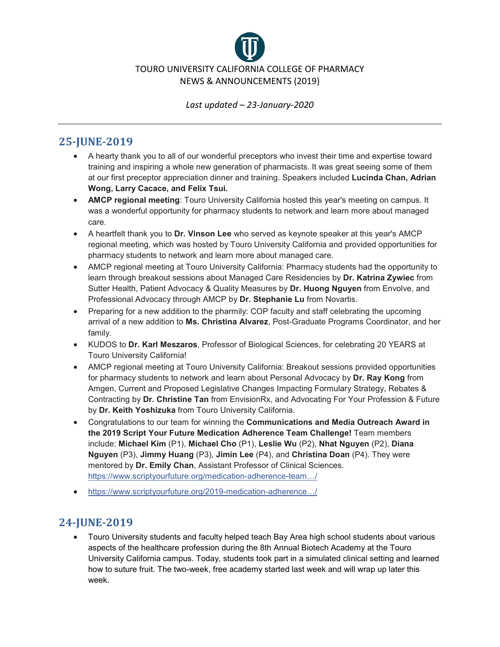

## **25-JUNE-2019**

- A hearty thank you to all of our wonderful preceptors who invest their time and expertise toward training and inspiring a whole new generation of pharmacists. It was great seeing some of them at our first preceptor appreciation dinner and training. Speakers included **Lucinda Chan, Adrian Wong, Larry Cacace, and Felix Tsui.**
- **AMCP regional meeting**: Touro University California hosted this year's meeting on campus. It was a wonderful opportunity for pharmacy students to network and learn more about managed care.
- A heartfelt thank you to **Dr. Vinson Lee** who served as keynote speaker at this year's AMCP regional meeting, which was hosted by Touro University California and provided opportunities for pharmacy students to network and learn more about managed care.
- AMCP regional meeting at Touro University California: Pharmacy students had the opportunity to learn through breakout sessions about Managed Care Residencies by **Dr. Katrina Zywiec** from Sutter Health, Patient Advocacy & Quality Measures by **Dr. Huong Nguyen** from Envolve, and Professional Advocacy through AMCP by **Dr. Stephanie Lu** from Novartis.
- Preparing for a new addition to the pharmily: COP faculty and staff celebrating the upcoming arrival of a new addition to **Ms. Christina Alvarez**, Post-Graduate Programs Coordinator, and her family.
- KUDOS to **Dr. Karl Meszaros**, Professor of Biological Sciences, for celebrating 20 YEARS at Touro University California!
- AMCP regional meeting at Touro University California: Breakout sessions provided opportunities for pharmacy students to network and learn about Personal Advocacy by **Dr. Ray Kong** from Amgen, Current and Proposed Legislative Changes Impacting Formulary Strategy, Rebates & Contracting by **Dr. Christine Tan** from EnvisionRx, and Advocating For Your Profession & Future by **Dr. Keith Yoshizuka** from Touro University California.
- Congratulations to our team for winning the **Communications and Media Outreach Award in the 2019 Script Your Future Medication Adherence Team Challenge!** Team members include: **Michael Kim** (P1), **Michael Cho** (P1), **Leslie Wu** (P2), **Nhat Nguyen** (P2), **Diana Nguyen** (P3), **Jimmy Huang** (P3), **Jimin Lee** (P4), and **Christina Doan** (P4). They were mentored by **Dr. Emily Chan**, Assistant Professor of Clinical Sciences. [https://www.scriptyourfuture.org/medication-adherence-team…/](https://l.facebook.com/l.php?u=https%3A%2F%2Fwww.scriptyourfuture.org%2Fmedication-adherence-team-challenge%2F%3Ffbclid%3DIwAR0aieoMAr3qB7tZ9jQDPvWx4igqc0JHrUfIjqoU5lwpYW-u67B4AnzAClo&h=AT1efdhcYCVpVVTU5oKX4NJ4Ar5TImUILDruuav3dr6Y9cJdpMnyLateZQcmEqQu-6AMUbBNR6E0a9bh0n7ol1B1JbwrOrrGYeBmsKsQVRDcGzu9zGcAqylkmxvGmYGn6XLs6LTNte9TzBMYx9d5t38TMdlYBGLRxA)
- [https://www.scriptyourfuture.org/2019-medication-adherence…/](https://l.facebook.com/l.php?u=https%3A%2F%2Fwww.scriptyourfuture.org%2F2019-medication-adherence-team-challenge-winners%2F%3Ffbclid%3DIwAR1gLatl4AIqunW-AugmBlUgXksBtsue0TIkooM0W7j7AkxYlOLmauAWJcU&h=AT3Pl2b2HdLz2kAGgkWNy2wVKG9a4G8VLtItGl-8SKMMSMNppGju89UAYthiLr8qihEdqdEQ-Mz5JFjwfHjWtO6iwJToMFZzW6vIQ-LLM7mQ8zQ9--n95dez0smqsyzl2N-q02q-yW4XyB5jD4L9K-YizH0i2M1U3Q)

# **24-JUNE-2019**

• Touro University students and faculty helped teach Bay Area high school students about various aspects of the healthcare profession during the 8th Annual Biotech Academy at the Touro University California campus. Today, students took part in a simulated clinical setting and learned how to suture fruit. The two-week, free academy started last week and will wrap up later this week.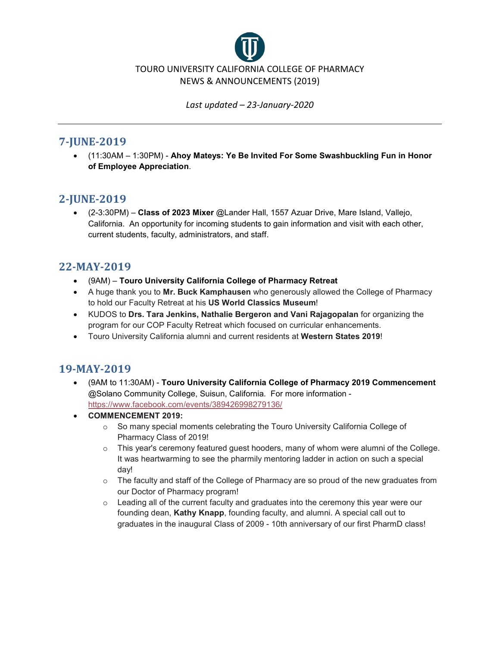

#### **7-JUNE-2019**

• (11:30AM – 1:30PM) - **Ahoy Mateys: Ye Be Invited For Some Swashbuckling Fun in Honor of Employee Appreciation**.

## **2-JUNE-2019**

• (2-3:30PM) – **Class of 2023 Mixer** @Lander Hall, 1557 Azuar Drive, Mare Island, Vallejo, California. An opportunity for incoming students to gain information and visit with each other, current students, faculty, administrators, and staff.

#### **22-MAY-2019**

- (9AM) **Touro University California College of Pharmacy Retreat**
- A huge thank you to **Mr. Buck Kamphausen** who generously allowed the College of Pharmacy to hold our Faculty Retreat at his **US World Classics Museum**!
- KUDOS to **Drs. Tara Jenkins, Nathalie Bergeron and Vani Rajagopalan** for organizing the program for our COP Faculty Retreat which focused on curricular enhancements.
- Touro University California alumni and current residents at **Western States 2019**!

# **19-MAY-2019**

- (9AM to 11:30AM) **Touro University California College of Pharmacy 2019 Commencement** @Solano Community College, Suisun, California. For more information <https://www.facebook.com/events/389426998279136/>
- **COMMENCEMENT 2019:**
	- o So many special moments celebrating the Touro University California College of Pharmacy Class of 2019!
	- $\circ$  This year's ceremony featured quest hooders, many of whom were alumni of the College. It was heartwarming to see the pharmily mentoring ladder in action on such a special day!
	- o The faculty and staff of the College of Pharmacy are so proud of the new graduates from our Doctor of Pharmacy program!
	- $\circ$  Leading all of the current faculty and graduates into the ceremony this year were our founding dean, **Kathy Knapp**, founding faculty, and alumni. A special call out to graduates in the inaugural Class of 2009 - 10th anniversary of our first PharmD class!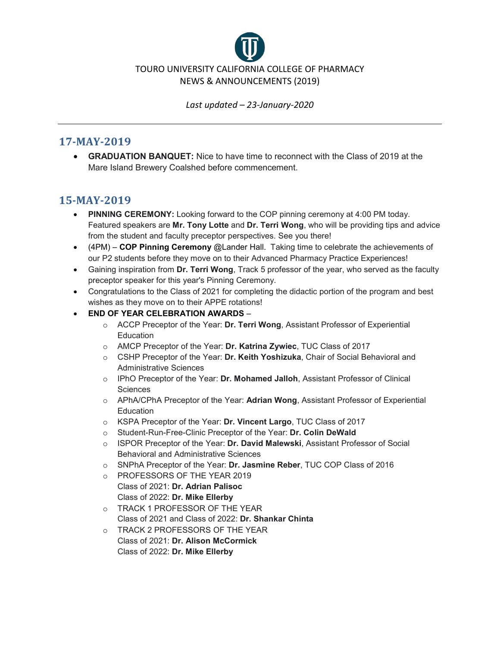

#### **17-MAY-2019**

• **GRADUATION BANQUET:** Nice to have time to reconnect with the Class of 2019 at the Mare Island Brewery Coalshed before commencement.

## **15-MAY-2019**

- **PINNING CEREMONY:** Looking forward to the COP pinning ceremony at 4:00 PM today. Featured speakers are **Mr. Tony Lotte** and **Dr. Terri Wong**, who will be providing tips and advice from the student and faculty preceptor perspectives. See you there!
- (4PM) **COP Pinning Ceremony** @Lander Hall. Taking time to celebrate the achievements of our P2 students before they move on to their Advanced Pharmacy Practice Experiences!
- Gaining inspiration from **Dr. Terri Wong**, Track 5 professor of the year, who served as the faculty preceptor speaker for this year's Pinning Ceremony.
- Congratulations to the Class of 2021 for completing the didactic portion of the program and best wishes as they move on to their APPE rotations!
- **END OF YEAR CELEBRATION AWARDS**
	- o ACCP Preceptor of the Year: **Dr. Terri Wong**, Assistant Professor of Experiential **Education**
	- o AMCP Preceptor of the Year: **Dr. Katrina Zywiec**, TUC Class of 2017
	- o CSHP Preceptor of the Year: **Dr. Keith Yoshizuka**, Chair of Social Behavioral and Administrative Sciences
	- o IPhO Preceptor of the Year: **Dr. Mohamed Jalloh**, Assistant Professor of Clinical **Sciences**
	- o APhA/CPhA Preceptor of the Year: **Adrian Wong**, Assistant Professor of Experiential **Education**
	- o KSPA Preceptor of the Year: **Dr. Vincent Largo**, TUC Class of 2017
	- o Student-Run-Free-Clinic Preceptor of the Year: **Dr. Colin DeWald**
	- o ISPOR Preceptor of the Year: **Dr. David Malewski**, Assistant Professor of Social Behavioral and Administrative Sciences
	- o SNPhA Preceptor of the Year: **Dr. Jasmine Reber**, TUC COP Class of 2016
	- o PROFESSORS OF THE YEAR 2019 Class of 2021: **Dr. Adrian Palisoc** Class of 2022: **Dr. Mike Ellerby**
	- o TRACK 1 PROFESSOR OF THE YEAR Class of 2021 and Class of 2022: **Dr. Shankar Chinta**
	- o TRACK 2 PROFESSORS OF THE YEAR Class of 2021: **Dr. Alison McCormick** Class of 2022: **Dr. Mike Ellerby**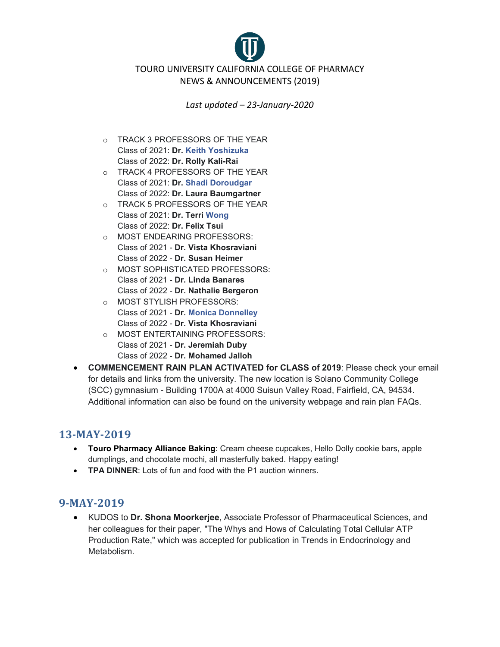TOURO UNIVERSITY CALIFORNIA COLLEGE OF PHARMACY NEWS & ANNOUNCEMENTS (2019)

*Last updated – 23-January-2020*

- o TRACK 3 PROFESSORS OF THE YEAR Class of 2021: **Dr. [Keith Yoshizuka](https://www.facebook.com/keith.yoshizuka?__tn__=%2CdK-R-R&eid=ARBpytea6KXIuaTv8eM4zvYqD48E1aQb1jvsrre8gGY1Sv8BjABecMOH77HH_szc2TZ-F35VEUQfFhO_&fref=mentions)** Class of 2022: **Dr. Rolly Kali-Rai**
- o TRACK 4 PROFESSORS OF THE YEAR Class of 2021: **Dr. [Shadi Doroudgar](https://www.facebook.com/shadi.doroudgar?__tn__=%2CdK-R-R&eid=ARC6T8Ga31LL5Uc1rJjLU9vZyAjEmj43M_HdOqzSCjDkE5OpfhKgKO2IwIWmEK1D2IC7RoDimFIjoXWd&fref=mentions)** Class of 2022: **Dr. Laura Baumgartner**
- o TRACK 5 PROFESSORS OF THE YEAR Class of 2021: **Dr. Terri [Wong](https://www.facebook.com/adrian.wong.102977?__tn__=%2CdK-R-R&eid=ARB_SmTAx1TfPXNOn7cuaZ9rhjC9F9uys4F2woLGMkSVtY-HI1NzxM6czk0YFASRxslgSHJ3YNwBoiOd&fref=mentions)** Class of 2022: **Dr. Felix Tsui**
- o MOST ENDEARING PROFESSORS: Class of 2021 - **Dr. Vista Khosraviani** Class of 2022 - **Dr. Susan Heimer**
- o MOST SOPHISTICATED PROFESSORS: Class of 2021 - **Dr. Linda Banares** Class of 2022 - **Dr. Nathalie Bergeron**
- o MOST STYLISH PROFESSORS: Class of 2021 - **Dr. [Monica Donnelley](https://www.facebook.com/monica.donnelley?__tn__=%2CdK-R-R&eid=ARAHIy02PkmcCtD_LL6fQU0gDOuOrStqTS63pBkwId6qlK9pPoMC08S9Z0dxa9BTHwK_Vz0-KmlYFdHB&fref=mentions)** Class of 2022 - **Dr. Vista Khosraviani**
- o MOST ENTERTAINING PROFESSORS: Class of 2021 - **Dr. Jeremiah Duby** Class of 2022 - **Dr. Mohamed Jalloh**
- **COMMENCEMENT RAIN PLAN ACTIVATED for CLASS of 2019**: Please check your email for details and links from the university. The new location is Solano Community College (SCC) gymnasium - Building 1700A at 4000 Suisun Valley Road, Fairfield, CA, 94534. Additional information can also be found on the university webpage and rain plan FAQs.

# **13-MAY-2019**

- **Touro Pharmacy Alliance Baking**: Cream cheese cupcakes, Hello Dolly cookie bars, apple dumplings, and chocolate mochi, all masterfully baked. Happy eating!
- **TPA DINNER**: Lots of fun and food with the P1 auction winners.

## **9-MAY-2019**

• KUDOS to **Dr. Shona Moorkerjee**, Associate Professor of Pharmaceutical Sciences, and her colleagues for their paper, "The Whys and Hows of Calculating Total Cellular ATP Production Rate," which was accepted for publication in Trends in Endocrinology and Metabolism.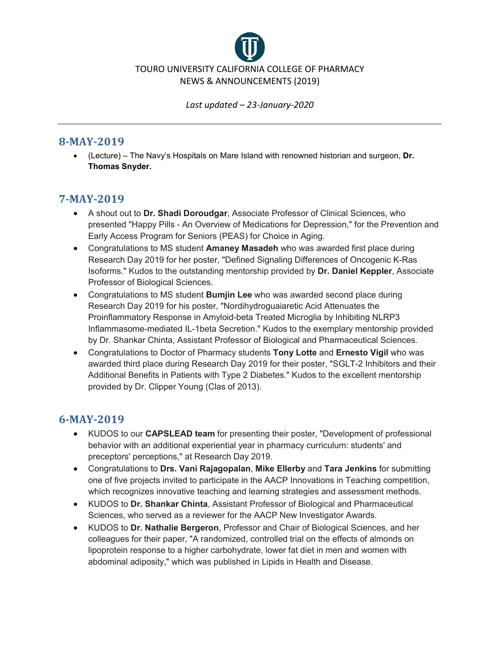

#### **8-MAY-2019**

• (Lecture) – The Navy's Hospitals on Mare Island with renowned historian and surgeon, **Dr. Thomas Snyder.**

## **7-MAY-2019**

- A shout out to **Dr. Shadi Doroudgar**, Associate Professor of Clinical Sciences, who presented "Happy Pills - An Overview of Medications for Depression," for the Prevention and Early Access Program for Seniors (PEAS) for Choice in Aging.
- Congratulations to MS student **Amaney Masadeh** who was awarded first place during Research Day 2019 for her poster, "Defined Signaling Differences of Oncogenic K-Ras Isoforms." Kudos to the outstanding mentorship provided by **Dr. Daniel Keppler**, Associate Professor of Biological Sciences.
- Congratulations to MS student **Bumjin Lee** who was awarded second place during Research Day 2019 for his poster, "Nordihydroguaiaretic Acid Attenuates the Proinflammatory Response in Amyloid-beta Treated Microglia by Inhibiting NLRP3 Inflammasome-mediated IL-1beta Secretion." Kudos to the exemplary mentorship provided by Dr. Shankar Chinta, Assistant Professor of Biological and Pharmaceutical Sciences.
- Congratulations to Doctor of Pharmacy students **Tony Lotte** and **Ernesto Vigil** who was awarded third place during Research Day 2019 for their poster, "SGLT-2 Inhibitors and their Additional Benefits in Patients with Type 2 Diabetes." Kudos to the excellent mentorship provided by Dr. Clipper Young (Clas of 2013).

# **6-MAY-2019**

- KUDOS to our **CAPSLEAD team** for presenting their poster, "Development of professional behavior with an additional experiential year in pharmacy curriculum: students' and preceptors' perceptions," at Research Day 2019.
- Congratulations to **Drs. Vani Rajagopalan**, **Mike Ellerby** and **Tara Jenkins** for submitting one of five projects invited to participate in the AACP Innovations in Teaching competition, which recognizes innovative teaching and learning strategies and assessment methods.
- KUDOS to **Dr. Shankar Chinta**, Assistant Professor of Biological and Pharmaceutical Sciences, who served as a reviewer for the AACP New Investigator Awards.
- KUDOS to **Dr. Nathalie Bergeron**, Professor and Chair of Biological Sciences, and her colleagues for their paper, "A randomized, controlled trial on the effects of almonds on lipoprotein response to a higher carbohydrate, lower fat diet in men and women with abdominal adiposity," which was published in Lipids in Health and Disease.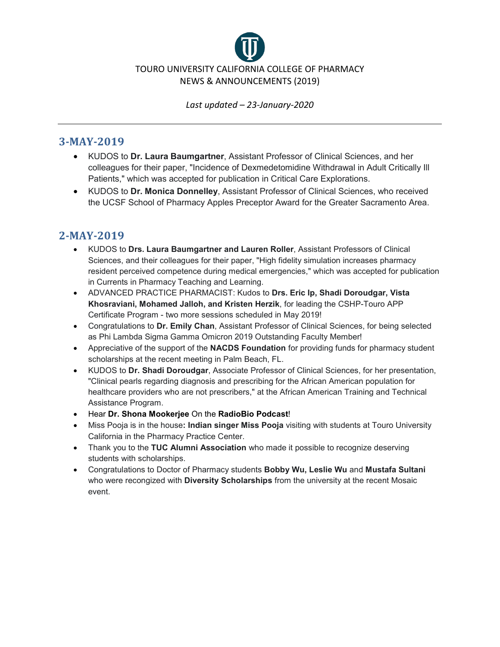

#### **3-MAY-2019**

- KUDOS to **Dr. Laura Baumgartner**, Assistant Professor of Clinical Sciences, and her colleagues for their paper, "Incidence of Dexmedetomidine Withdrawal in Adult Critically Ill Patients," which was accepted for publication in Critical Care Explorations.
- KUDOS to **Dr. Monica Donnelley**, Assistant Professor of Clinical Sciences, who received the UCSF School of Pharmacy Apples Preceptor Award for the Greater Sacramento Area.

## **2-MAY-2019**

- KUDOS to **Drs. Laura Baumgartner and Lauren Roller**, Assistant Professors of Clinical Sciences, and their colleagues for their paper, "High fidelity simulation increases pharmacy resident perceived competence during medical emergencies," which was accepted for publication in Currents in Pharmacy Teaching and Learning.
- ADVANCED PRACTICE PHARMACIST: Kudos to **Drs. Eric Ip, Shadi Doroudgar, Vista Khosraviani, Mohamed Jalloh, and Kristen Herzik**, for leading the CSHP-Touro APP Certificate Program - two more sessions scheduled in May 2019!
- Congratulations to **Dr. Emily Chan**, Assistant Professor of Clinical Sciences, for being selected as Phi Lambda Sigma Gamma Omicron 2019 Outstanding Faculty Member!
- Appreciative of the support of the **NACDS Foundation** for providing funds for pharmacy student scholarships at the recent meeting in Palm Beach, FL.
- KUDOS to **Dr. Shadi Doroudgar**, Associate Professor of Clinical Sciences, for her presentation, "Clinical pearls regarding diagnosis and prescribing for the African American population for healthcare providers who are not prescribers," at the African American Training and Technical Assistance Program.
- Hear **Dr. Shona Mookerjee** On the **RadioBio Podcast**!
- Miss Pooja is in the house**: Indian singer Miss Pooja** visiting with students at Touro University California in the Pharmacy Practice Center.
- Thank you to the **TUC Alumni Association** who made it possible to recognize deserving students with scholarships.
- Congratulations to Doctor of Pharmacy students **Bobby Wu, Leslie Wu** and **Mustafa Sultani** who were recongized with **Diversity Scholarships** from the university at the recent Mosaic event.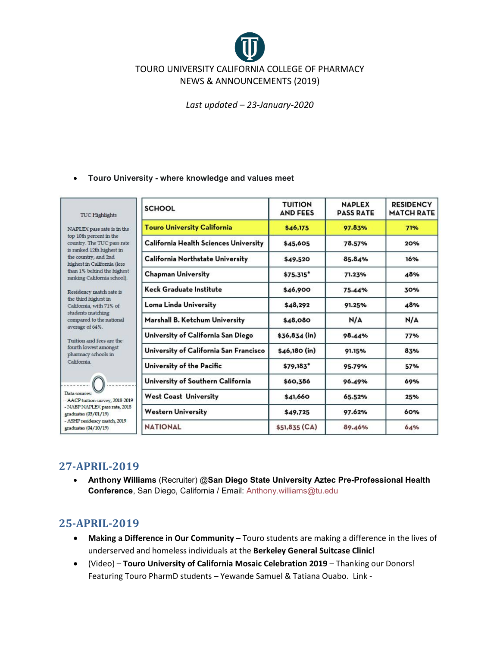# TOURO UNIVERSITY CALIFORNIA COLLEGE OF PHARMACY NEWS & ANNOUNCEMENTS (2019)

*Last updated – 23-January-2020*

#### • **Touro University - where knowledge and values meet**

| TUC Highlights                                                                                                                                                                                                                                                                                                                                                                                                  | <b>SCHOOL</b>                          | <b>TUITION</b><br><b>AND FEES</b> | <b>NAPLEX</b><br><b>PASS RATE</b> | <b>RESIDENCY</b><br><b>MATCH RATE</b> |
|-----------------------------------------------------------------------------------------------------------------------------------------------------------------------------------------------------------------------------------------------------------------------------------------------------------------------------------------------------------------------------------------------------------------|----------------------------------------|-----------------------------------|-----------------------------------|---------------------------------------|
| NAPLEX pass rate is in the<br>top 10th percent in the<br>country. The TUC pass rate<br>is ranked 12th highest in<br>the country, and 2nd<br>highest in California (less<br>than 1% behind the highest<br>ranking California school).                                                                                                                                                                            | <b>Touro University California</b>     | \$46.175                          | 97.83%                            | 71%                                   |
|                                                                                                                                                                                                                                                                                                                                                                                                                 | California Health Sciences University  | \$45,605                          | 78.57%                            | 20%                                   |
|                                                                                                                                                                                                                                                                                                                                                                                                                 | California Northstate University       | \$49,520                          | 85.84%                            | 16%                                   |
|                                                                                                                                                                                                                                                                                                                                                                                                                 | <b>Chapman University</b>              | $$75.315*$                        | 71.23%                            | 48%                                   |
| Residency match rate is<br>the third highest in<br>California, with 71% of<br>students matching<br>compared to the national<br>average of 64%.<br>Tuition and fees are the<br>fourth lowest amongst<br>pharmacy schools in<br>California.<br>Data sources:<br>- AACP tuition survey, 2018-2019<br>- NABP NAPLEX pass rate, 2018<br>graduates (03/01/19)<br>- ASHP residency match, 2019<br>graduates (04/10/19) | Keck Graduate Institute                | \$46,900                          | 75.44%                            | 30%                                   |
|                                                                                                                                                                                                                                                                                                                                                                                                                 | Loma Linda University                  | \$48.292                          | 91.25%                            | 48%                                   |
|                                                                                                                                                                                                                                                                                                                                                                                                                 | Marshall B. Ketchum University         | \$48,080                          | N/A                               | N/A                                   |
|                                                                                                                                                                                                                                                                                                                                                                                                                 | University of California San Diego     | $$36.834$ (in)                    | 98.44%                            | 77%                                   |
|                                                                                                                                                                                                                                                                                                                                                                                                                 | University of California San Francisco | $$46,180$ (in)                    | 91.15%                            | 83%                                   |
|                                                                                                                                                                                                                                                                                                                                                                                                                 | University of the Pacific              | \$79,183"                         | 95.79%                            | 57%                                   |
|                                                                                                                                                                                                                                                                                                                                                                                                                 | University of Southern California      | \$60,386                          | 96.49%                            | 69%                                   |
|                                                                                                                                                                                                                                                                                                                                                                                                                 | <b>West Coast University</b>           | \$41,660                          | 65.52%                            | 25%                                   |
|                                                                                                                                                                                                                                                                                                                                                                                                                 | Western University                     | \$49,725                          | 97.62%                            | 60%                                   |
|                                                                                                                                                                                                                                                                                                                                                                                                                 | <b>NATIONAL</b>                        | \$51,835 (CA)                     | 89.46%                            | 64%                                   |

## **27-APRIL-2019**

• **Anthony Williams** (Recruiter) @**San Diego State University Aztec Pre-Professional Health Conference**, San Diego, California / Email: [Anthony.williams@tu.edu](mailto:Anthony.williams@tu.edu)

#### **25-APRIL-2019**

- **Making a Difference in Our Community** Touro students are making a difference in the lives of underserved and homeless individuals at the **Berkeley General Suitcase Clinic!**
- (Video) **Touro University of California Mosaic Celebration 2019** Thanking our Donors! Featuring Touro PharmD students – Yewande Samuel & Tatiana Ouabo. Link -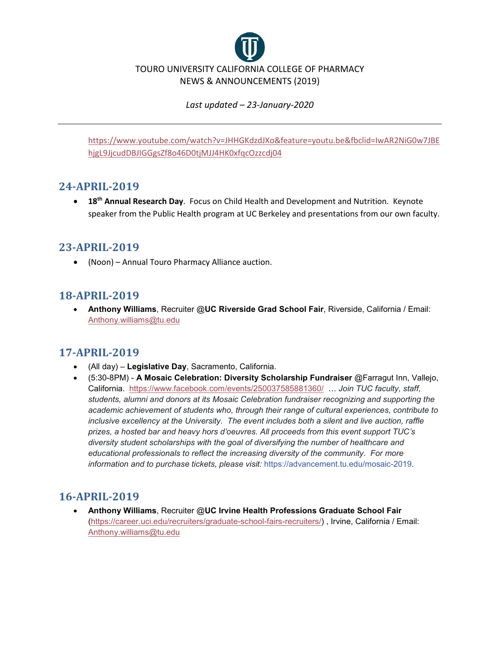

[https://www.youtube.com/watch?v=JHHGKdzdJXo&feature=youtu.be&fbclid=IwAR2NiG0w7JBE](https://www.youtube.com/watch?v=JHHGKdzdJXo&feature=youtu.be&fbclid=IwAR2NiG0w7JBEhjgL9JjcudDBJIGGgsZf8o46D0tjMJJ4HK0xfqcOzzcdj04) [hjgL9JjcudDBJIGGgsZf8o46D0tjMJJ4HK0xfqcOzzcdj04](https://www.youtube.com/watch?v=JHHGKdzdJXo&feature=youtu.be&fbclid=IwAR2NiG0w7JBEhjgL9JjcudDBJIGGgsZf8o46D0tjMJJ4HK0xfqcOzzcdj04)

#### **24-APRIL-2019**

• **18th Annual Research Day**. Focus on Child Health and Development and Nutrition. Keynote speaker from the Public Health program at UC Berkeley and presentations from our own faculty.

#### **23-APRIL-2019**

• (Noon) – Annual Touro Pharmacy Alliance auction.

## **18-APRIL-2019**

• **Anthony Williams**, Recruiter @**UC Riverside Grad School Fair**, Riverside, California / Email: [Anthony.williams@tu.edu](mailto:Anthony.williams@tu.edu)

## **17-APRIL-2019**

- (All day) **Legislative Day**, Sacramento, California.
- (5:30-8PM) **A Mosaic Celebration: Diversity Scholarship Fundraiser** @Farragut Inn, Vallejo, California. <https://www.facebook.com/events/250037585881360/>… *Join TUC faculty, staff, students, alumni and donors at its Mosaic Celebration fundraiser recognizing and supporting the academic achievement of students who, through their range of cultural experiences, contribute to inclusive excellency at the University. The event includes both a silent and live auction, raffle prizes, a hosted bar and heavy hors d'oeuvres. All proceeds from this event support TUC's diversity student scholarships with the goal of diversifying the number of healthcare and educational professionals to reflect the increasing diversity of the community. For more information and to purchase tickets, please visit:* [https://advancement.tu.edu/mosaic-2019.](https://l.facebook.com/l.php?u=https%3A%2F%2Fadvancement.tu.edu%2Fmosaic-2019%3Ffbclid%3DIwAR0aDs06vEDnaQDGv1rLWjJji7nKAtzbXlc_afzCesM7Z9TjlYwCcjMAbu4&h=AT2yuG6aL2CFgFcU25Q_OonYTD_mz05paJIB41q8DfQeCFS6qeDfxdYZgdVRW7mSW7EpueMgXZgCAfzoqTJuhSNNOxvVDpzz7gSiXH1cqhyCrSnLULj_bRPBTlVUZVQG_Go)

#### **16-APRIL-2019**

• **Anthony Williams**, Recruiter @**UC Irvine Health Professions Graduate School Fair** [\(https://career.uci.edu/recruiters/graduate-school-fairs-recruiters/\)](https://career.uci.edu/recruiters/graduate-school-fairs-recruiters/) , Irvine, California / Email: [Anthony.williams@tu.edu](mailto:Anthony.williams@tu.edu)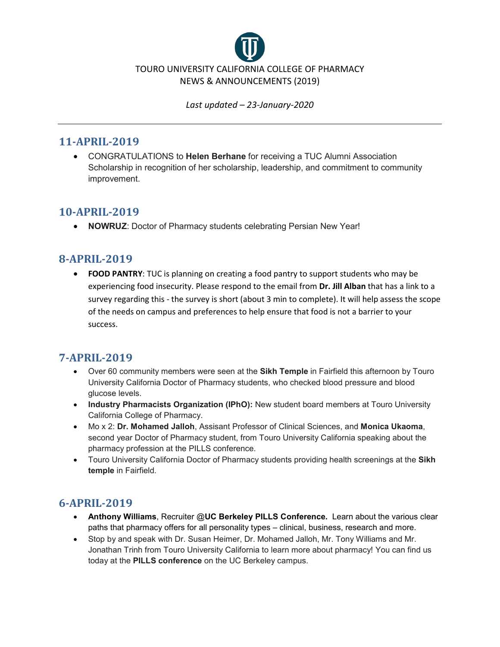

#### **11-APRIL-2019**

• CONGRATULATIONS to **Helen Berhane** for receiving a TUC Alumni Association Scholarship in recognition of her scholarship, leadership, and commitment to community improvement.

## **10-APRIL-2019**

• **NOWRUZ**: Doctor of Pharmacy students celebrating Persian New Year!

# **8-APRIL-2019**

• **FOOD PANTRY**: TUC is planning on creating a food pantry to support students who may be experiencing food insecurity. Please respond to the email from **Dr. Jill Alban** that has a link to a survey regarding this - the survey is short (about 3 min to complete). It will help assess the scope of the needs on campus and preferences to help ensure that food is not a barrier to your success.

## **7-APRIL-2019**

- Over 60 community members were seen at the **Sikh Temple** in Fairfield this afternoon by Touro University California Doctor of Pharmacy students, who checked blood pressure and blood glucose levels.
- **Industry Pharmacists Organization (IPhO):** New student board members at Touro University California College of Pharmacy.
- Mo x 2: **Dr. Mohamed Jalloh**, Assisant Professor of Clinical Sciences, and **Monica Ukaoma**, second year Doctor of Pharmacy student, from Touro University California speaking about the pharmacy profession at the PILLS conference.
- Touro University California Doctor of Pharmacy students providing health screenings at the **Sikh temple** in Fairfield.

# **6-APRIL-2019**

- **Anthony Williams**, Recruiter @**UC Berkeley PILLS Conference.** Learn about the various clear paths that pharmacy offers for all personality types – clinical, business, research and more.
- Stop by and speak with Dr. Susan Heimer, Dr. Mohamed Jalloh, Mr. Tony Williams and Mr. Jonathan Trinh from Touro University California to learn more about pharmacy! You can find us today at the **PILLS conference** on the UC Berkeley campus.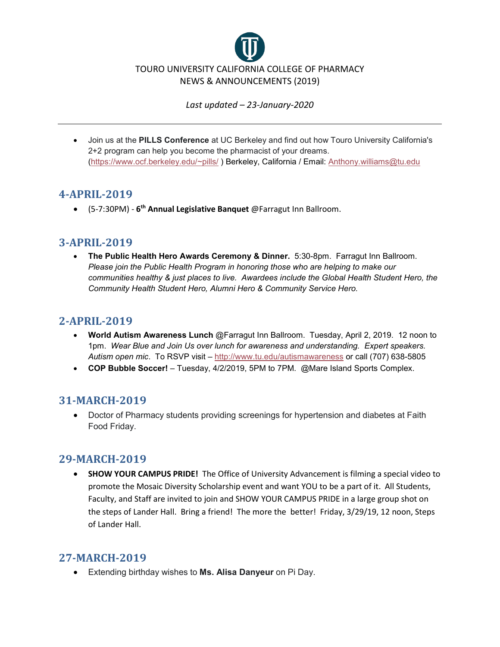

• Join us at the **PILLS Conference** at UC Berkeley and find out how Touro University California's 2+2 program can help you become the pharmacist of your dreams. [\(https://www.ocf.berkeley.edu/~pills/](https://www.ocf.berkeley.edu/%7Epills/) ) Berkeley, California / Email: [Anthony.williams@tu.edu](mailto:Anthony.williams@tu.edu)

## **4-APRIL-2019**

• (5-7:30PM) - **6th Annual Legislative Banquet** @Farragut Inn Ballroom.

#### **3-APRIL-2019**

• **The Public Health Hero Awards Ceremony & Dinner.** 5:30-8pm. Farragut Inn Ballroom. *Please join the Public Health Program in honoring those who are helping to make our communities healthy & just places to live. Awardees include the Global Health Student Hero, the Community Health Student Hero, Alumni Hero & Community Service Hero.*

#### **2-APRIL-2019**

- **World Autism Awareness Lunch** @Farragut Inn Ballroom. Tuesday, April 2, 2019. 12 noon to 1pm. *Wear Blue and Join Us over lunch for awareness and understanding. Expert speakers. Autism open mic*. To RSVP visit – <http://www.tu.edu/autismawareness> or call (707) 638-5805
- **COP Bubble Soccer!** Tuesday, 4/2/2019, 5PM to 7PM. @Mare Island Sports Complex.

## **31-MARCH-2019**

• Doctor of Pharmacy students providing screenings for hypertension and diabetes at Faith Food Friday.

## **29-MARCH-2019**

• **SHOW YOUR CAMPUS PRIDE!** The Office of University Advancement is filming a special video to promote the Mosaic Diversity Scholarship event and want YOU to be a part of it. All Students, Faculty, and Staff are invited to join and SHOW YOUR CAMPUS PRIDE in a large group shot on the steps of Lander Hall. Bring a friend! The more the better! Friday, 3/29/19, 12 noon, Steps of Lander Hall.

## **27-MARCH-2019**

• Extending birthday wishes to **Ms. Alisa Danyeur** on Pi Day.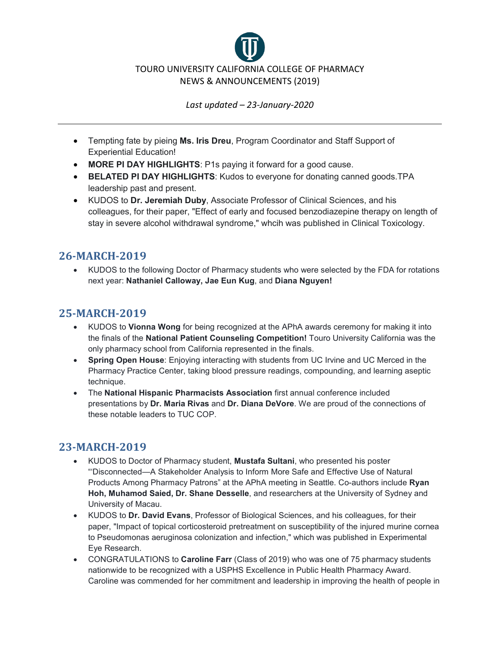

- Tempting fate by pieing **Ms. Iris Dreu**, Program Coordinator and Staff Support of Experiential Education!
- **MORE PI DAY HIGHLIGHTS**: P1s paying it forward for a good cause.
- **BELATED PI DAY HIGHLIGHTS**: Kudos to everyone for donating canned goods.TPA leadership past and present.
- KUDOS to **Dr. Jeremiah Duby**, Associate Professor of Clinical Sciences, and his colleagues, for their paper, "Effect of early and focused benzodiazepine therapy on length of stay in severe alcohol withdrawal syndrome," whcih was published in Clinical Toxicology.

#### **26-MARCH-2019**

• KUDOS to the following Doctor of Pharmacy students who were selected by the FDA for rotations next year: **Nathaniel Calloway, Jae Eun Kug**, and **Diana Nguyen!**

# **25-MARCH-2019**

- KUDOS to **Vionna Wong** for being recognized at the APhA awards ceremony for making it into the finals of the **National Patient Counseling Competition!** Touro University California was the only pharmacy school from California represented in the finals.
- **Spring Open House**: Enjoying interacting with students from UC Irvine and UC Merced in the Pharmacy Practice Center, taking blood pressure readings, compounding, and learning aseptic technique.
- The **National Hispanic Pharmacists Association** first annual conference included presentations by **Dr. Maria Rivas** and **Dr. Diana DeVore**. We are proud of the connections of these notable leaders to TUC COP.

## **23-MARCH-2019**

- KUDOS to Doctor of Pharmacy student, **Mustafa Sultani**, who presented his poster "'Disconnected—A Stakeholder Analysis to Inform More Safe and Effective Use of Natural Products Among Pharmacy Patrons" at the APhA meeting in Seattle. Co-authors include **Ryan Hoh, Muhamod Saied, Dr. Shane Desselle**, and researchers at the University of Sydney and University of Macau.
- KUDOS to **Dr. David Evans**, Professor of Biological Sciences, and his colleagues, for their paper, "Impact of topical corticosteroid pretreatment on susceptibility of the injured murine cornea to Pseudomonas aeruginosa colonization and infection," which was published in Experimental Eye Research.
- CONGRATULATIONS to **Caroline Farr** (Class of 2019) who was one of 75 pharmacy students nationwide to be recognized with a USPHS Excellence in Public Health Pharmacy Award. Caroline was commended for her commitment and leadership in improving the health of people in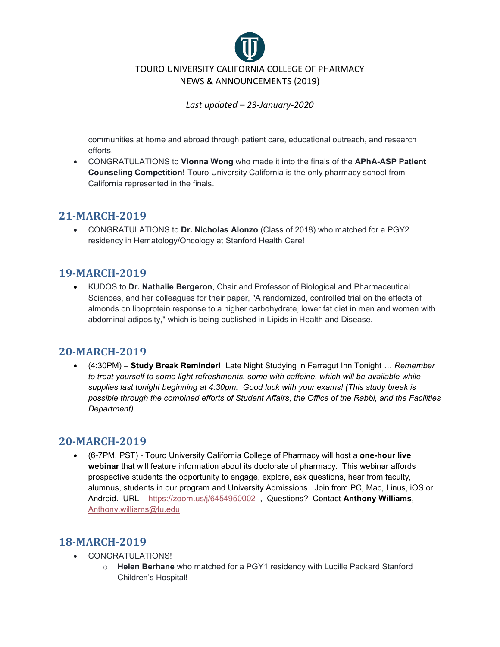

communities at home and abroad through patient care, educational outreach, and research efforts.

• CONGRATULATIONS to **Vionna Wong** who made it into the finals of the **APhA-ASP Patient Counseling Competition!** Touro University California is the only pharmacy school from California represented in the finals.

#### **21-MARCH-2019**

• CONGRATULATIONS to **Dr. Nicholas Alonzo** (Class of 2018) who matched for a PGY2 residency in Hematology/Oncology at Stanford Health Care!

## **19-MARCH-2019**

• KUDOS to **Dr. Nathalie Bergeron**, Chair and Professor of Biological and Pharmaceutical Sciences, and her colleagues for their paper, "A randomized, controlled trial on the effects of almonds on lipoprotein response to a higher carbohydrate, lower fat diet in men and women with abdominal adiposity," which is being published in Lipids in Health and Disease.

#### **20-MARCH-2019**

• (4:30PM) – **Study Break Reminder!** Late Night Studying in Farragut Inn Tonight … *Remember to treat yourself to some light refreshments, some with caffeine, which will be available while supplies last tonight beginning at 4:30pm. Good luck with your exams! (This study break is possible through the combined efforts of Student Affairs, the Office of the Rabbi, and the Facilities Department).*

#### **20-MARCH-2019**

• (6-7PM, PST) - Touro University California College of Pharmacy will host a **one-hour live webinar** that will feature information about its doctorate of pharmacy. This webinar affords prospective students the opportunity to engage, explore, ask questions, hear from faculty, alumnus, students in our program and University Admissions. Join from PC, Mac, Linus, iOS or Android. URL – <https://zoom.us/j/6454950002> , Questions? Contact **Anthony Williams**, [Anthony.williams@tu.edu](mailto:Anthony.williams@tu.edu)

## **18-MARCH-2019**

- CONGRATULATIONS!
	- o **Helen Berhane** who matched for a PGY1 residency with Lucille Packard Stanford Children's Hospital!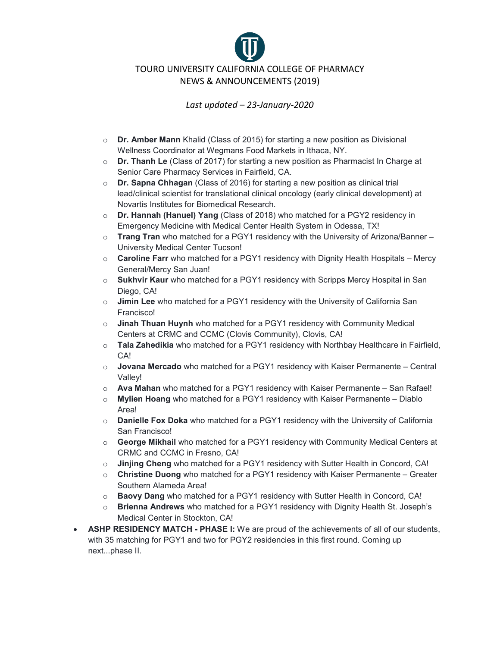

- o **Dr. Amber Mann** Khalid (Class of 2015) for starting a new position as Divisional Wellness Coordinator at Wegmans Food Markets in Ithaca, NY.
- o **Dr. Thanh Le** (Class of 2017) for starting a new position as Pharmacist In Charge at Senior Care Pharmacy Services in Fairfield, CA.
- o **Dr. Sapna Chhagan** (Class of 2016) for starting a new position as clinical trial lead/clinical scientist for translational clinical oncology (early clinical development) at Novartis Institutes for Biomedical Research.
- o **Dr. Hannah (Hanuel) Yang** (Class of 2018) who matched for a PGY2 residency in Emergency Medicine with Medical Center Health System in Odessa, TX!
- o **Trang Tran** who matched for a PGY1 residency with the University of Arizona/Banner University Medical Center Tucson!
- o **Caroline Farr** who matched for a PGY1 residency with Dignity Health Hospitals Mercy General/Mercy San Juan!
- o **Sukhvir Kaur** who matched for a PGY1 residency with Scripps Mercy Hospital in San Diego, CA!
- o **Jimin Lee** who matched for a PGY1 residency with the University of California San Francisco!
- o **Jinah Thuan Huynh** who matched for a PGY1 residency with Community Medical Centers at CRMC and CCMC (Clovis Community), Clovis, CA!
- o **Tala Zahedikia** who matched for a PGY1 residency with Northbay Healthcare in Fairfield, CA!
- o **Jovana Mercado** who matched for a PGY1 residency with Kaiser Permanente Central Valley!
- o **Ava Mahan** who matched for a PGY1 residency with Kaiser Permanente San Rafael!
- o **Mylien Hoang** who matched for a PGY1 residency with Kaiser Permanente Diablo Area!
- o **Danielle Fox Doka** who matched for a PGY1 residency with the University of California San Francisco!
- o **George Mikhail** who matched for a PGY1 residency with Community Medical Centers at CRMC and CCMC in Fresno, CA!
- o **Jinjing Cheng** who matched for a PGY1 residency with Sutter Health in Concord, CA!
- o **Christine Duong** who matched for a PGY1 residency with Kaiser Permanente Greater Southern Alameda Area!
- o **Baovy Dang** who matched for a PGY1 residency with Sutter Health in Concord, CA!
- o **Brienna Andrews** who matched for a PGY1 residency with Dignity Health St. Joseph's Medical Center in Stockton, CA!
- **ASHP RESIDENCY MATCH - PHASE I:** We are proud of the achievements of all of our students, with 35 matching for PGY1 and two for PGY2 residencies in this first round. Coming up next...phase II.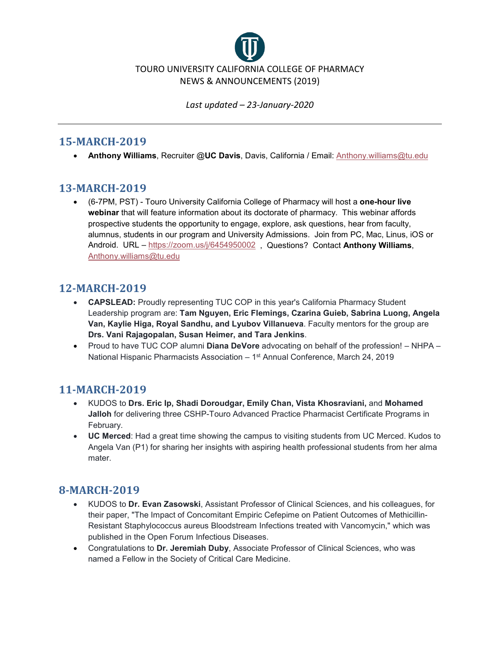

#### **15-MARCH-2019**

• **Anthony Williams**, Recruiter @**UC Davis**, Davis, California / Email: [Anthony.williams@tu.edu](mailto:Anthony.williams@tu.edu)

# **13-MARCH-2019**

• (6-7PM, PST) - Touro University California College of Pharmacy will host a **one-hour live webinar** that will feature information about its doctorate of pharmacy. This webinar affords prospective students the opportunity to engage, explore, ask questions, hear from faculty, alumnus, students in our program and University Admissions. Join from PC, Mac, Linus, iOS or Android. URL – <https://zoom.us/j/6454950002>, Questions? Contact **Anthony Williams**, [Anthony.williams@tu.edu](mailto:Anthony.williams@tu.edu)

# **12-MARCH-2019**

- **CAPSLEAD:** Proudly representing TUC COP in this year's California Pharmacy Student Leadership program are: **Tam Nguyen, Eric Flemings, Czarina Guieb, Sabrina Luong, Angela Van, Kaylie Higa, Royal Sandhu, and Lyubov Villanueva**. Faculty mentors for the group are **Drs. Vani Rajagopalan, Susan Heimer, and Tara Jenkins**.
- Proud to have TUC COP alumni **Diana DeVore** advocating on behalf of the profession! NHPA National Hispanic Pharmacists Association – 1st Annual Conference, March 24, 2019

## **11-MARCH-2019**

- KUDOS to **Drs. Eric Ip, Shadi Doroudgar, Emily Chan, Vista Khosraviani,** and **Mohamed Jalloh** for delivering three CSHP-Touro Advanced Practice Pharmacist Certificate Programs in February.
- **UC Merced**: Had a great time showing the campus to visiting students from UC Merced. Kudos to Angela Van (P1) for sharing her insights with aspiring health professional students from her alma mater.

# **8-MARCH-2019**

- KUDOS to **Dr. Evan Zasowski**, Assistant Professor of Clinical Sciences, and his colleagues, for their paper, "The Impact of Concomitant Empiric Cefepime on Patient Outcomes of Methicillin-Resistant Staphylococcus aureus Bloodstream Infections treated with Vancomycin," which was published in the Open Forum Infectious Diseases.
- Congratulations to **Dr. Jeremiah Duby**, Associate Professor of Clinical Sciences, who was named a Fellow in the Society of Critical Care Medicine.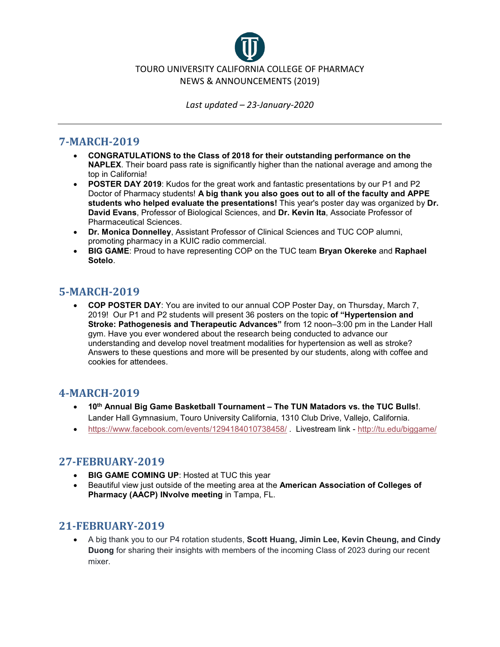

#### **7-MARCH-2019**

- **CONGRATULATIONS to the Class of 2018 for their outstanding performance on the NAPLEX**. Their board pass rate is significantly higher than the national average and among the top in California!
- **POSTER DAY 2019**: Kudos for the great work and fantastic presentations by our P1 and P2 Doctor of Pharmacy students! **A big thank you also goes out to all of the faculty and APPE students who helped evaluate the presentations!** This year's poster day was organized by **Dr. David Evans**, Professor of Biological Sciences, and **Dr. Kevin Ita**, Associate Professor of Pharmaceutical Sciences.
- **Dr. Monica Donnelley**, Assistant Professor of Clinical Sciences and TUC COP alumni, promoting pharmacy in a KUIC radio commercial.
- **BIG GAME**: Proud to have representing COP on the TUC team **Bryan Okereke** and **Raphael Sotelo**.

#### **5-MARCH-2019**

• **COP POSTER DAY**: You are invited to our annual COP Poster Day, on Thursday, March 7, 2019! Our P1 and P2 students will present 36 posters on the topic **of "Hypertension and Stroke: Pathogenesis and Therapeutic Advances"** from 12 noon–3:00 pm in the Lander Hall gym. Have you ever wondered about the research being conducted to advance our understanding and develop novel treatment modalities for hypertension as well as stroke? Answers to these questions and more will be presented by our students, along with coffee and cookies for attendees.

#### **4-MARCH-2019**

- **10th Annual Big Game Basketball Tournament – The TUN Matadors vs. the TUC Bulls!**. Lander Hall Gymnasium, Touro University California, 1310 Club Drive, Vallejo, California.
- <https://www.facebook.com/events/1294184010738458/>, Livestream link <http://tu.edu/biggame/>

#### **27-FEBRUARY-2019**

- **BIG GAME COMING UP**: Hosted at TUC this year
- Beautiful view just outside of the meeting area at the **American Association of Colleges of Pharmacy (AACP) INvolve meeting** in Tampa, FL.

#### **21-FEBRUARY-2019**

• A big thank you to our P4 rotation students, **Scott Huang, Jimin Lee, Kevin Cheung, and Cindy Duong** for sharing their insights with members of the incoming Class of 2023 during our recent mixer.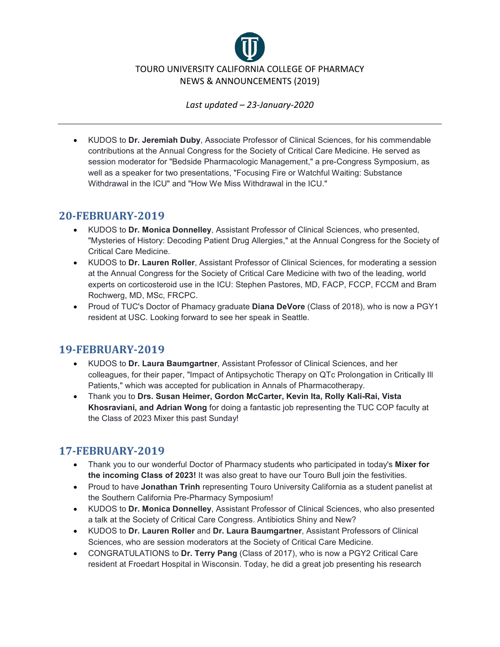

• KUDOS to **Dr. Jeremiah Duby**, Associate Professor of Clinical Sciences, for his commendable contributions at the Annual Congress for the Society of Critical Care Medicine. He served as session moderator for "Bedside Pharmacologic Management," a pre-Congress Symposium, as well as a speaker for two presentations, "Focusing Fire or Watchful Waiting: Substance Withdrawal in the ICU" and "How We Miss Withdrawal in the ICU."

## **20-FEBRUARY-2019**

- KUDOS to **Dr. Monica Donnelley**, Assistant Professor of Clinical Sciences, who presented, "Mysteries of History: Decoding Patient Drug Allergies," at the Annual Congress for the Society of Critical Care Medicine.
- KUDOS to **Dr. Lauren Roller**, Assistant Professor of Clinical Sciences, for moderating a session at the Annual Congress for the Society of Critical Care Medicine with two of the leading, world experts on corticosteroid use in the ICU: Stephen Pastores, MD, FACP, FCCP, FCCM and Bram Rochwerg, MD, MSc, FRCPC.
- Proud of TUC's Doctor of Phamacy graduate **Diana DeVore** (Class of 2018), who is now a PGY1 resident at USC. Looking forward to see her speak in Seattle.

# **19-FEBRUARY-2019**

- KUDOS to **Dr. Laura Baumgartner**, Assistant Professor of Clinical Sciences, and her colleagues, for their paper, "Impact of Antipsychotic Therapy on QTc Prolongation in Critically Ill Patients," which was accepted for publication in Annals of Pharmacotherapy.
- Thank you to **Drs. Susan Heimer, Gordon McCarter, Kevin Ita, Rolly Kali-Rai, Vista Khosraviani, and Adrian Wong** for doing a fantastic job representing the TUC COP faculty at the Class of 2023 Mixer this past Sunday!

# **17-FEBRUARY-2019**

- Thank you to our wonderful Doctor of Pharmacy students who participated in today's **Mixer for the incoming Class of 2023!** It was also great to have our Touro Bull join the festivities.
- Proud to have **Jonathan Trinh** representing Touro University California as a student panelist at the Southern California Pre-Pharmacy Symposium!
- KUDOS to **Dr. Monica Donnelley**, Assistant Professor of Clinical Sciences, who also presented a talk at the Society of Critical Care Congress. Antibiotics Shiny and New?
- KUDOS to **Dr. Lauren Roller** and **Dr. Laura Baumgartner**, Assistant Professors of Clinical Sciences, who are session moderators at the Society of Critical Care Medicine.
- CONGRATULATIONS to **Dr. Terry Pang** (Class of 2017), who is now a PGY2 Critical Care resident at Froedart Hospital in Wisconsin. Today, he did a great job presenting his research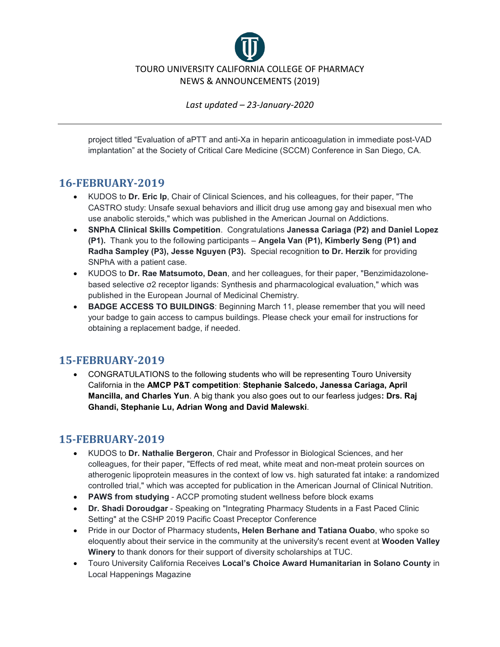

project titled "Evaluation of aPTT and anti-Xa in heparin anticoagulation in immediate post-VAD implantation" at the Society of Critical Care Medicine (SCCM) Conference in San Diego, CA.

## **16-FEBRUARY-2019**

- KUDOS to **Dr. Eric Ip**, Chair of Clinical Sciences, and his colleagues, for their paper, "The CASTRO study: Unsafe sexual behaviors and illicit drug use among gay and bisexual men who use anabolic steroids," which was published in the American Journal on Addictions.
- **SNPhA Clinical Skills Competition**. Congratulations **Janessa Cariaga (P2) and Daniel Lopez (P1).** Thank you to the following participants – **Angela Van (P1), Kimberly Seng (P1) and Radha Sampley (P3), Jesse Nguyen (P3).** Special recognition **to Dr. Herzik** for providing SNPhA with a patient case.
- KUDOS to **Dr. Rae Matsumoto, Dean**, and her colleagues, for their paper, "Benzimidazolonebased selective σ2 receptor ligands: Synthesis and pharmacological evaluation," which was published in the European Journal of Medicinal Chemistry.
- **BADGE ACCESS TO BUILDINGS**: Beginning March 11, please remember that you will need your badge to gain access to campus buildings. Please check your email for instructions for obtaining a replacement badge, if needed.

## **15-FEBRUARY-2019**

• CONGRATULATIONS to the following students who will be representing Touro University California in the **AMCP P&T competition**: **Stephanie Salcedo, Janessa Cariaga, April Mancilla, and Charles Yun**. A big thank you also goes out to our fearless judges**: Drs. Raj Ghandi, Stephanie Lu, Adrian Wong and David Malewski**.

## **15-FEBRUARY-2019**

- KUDOS to **Dr. Nathalie Bergeron**, Chair and Professor in Biological Sciences, and her colleagues, for their paper, "Effects of red meat, white meat and non-meat protein sources on atherogenic lipoprotein measures in the context of low vs. high saturated fat intake: a randomized controlled trial," which was accepted for publication in the American Journal of Clinical Nutrition.
- **PAWS from studying** ACCP promoting student wellness before block exams
- **Dr. Shadi Doroudgar** Speaking on "Integrating Pharmacy Students in a Fast Paced Clinic Setting" at the CSHP 2019 Pacific Coast Preceptor Conference
- Pride in our Doctor of Pharmacy students**, Helen Berhane and Tatiana Ouabo**, who spoke so eloquently about their service in the community at the university's recent event at **Wooden Valley Winery** to thank donors for their support of diversity scholarships at TUC.
- Touro University California Receives **Local's Choice Award Humanitarian in Solano County** in Local Happenings Magazine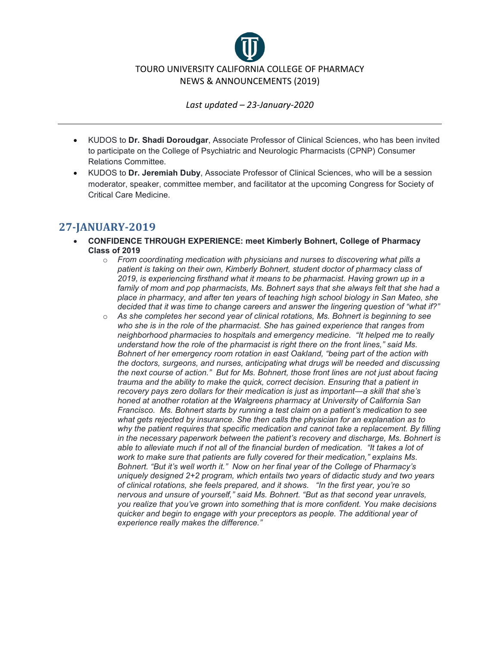

- KUDOS to **Dr. Shadi Doroudgar**, Associate Professor of Clinical Sciences, who has been invited to participate on the College of Psychiatric and Neurologic Pharmacists (CPNP) Consumer Relations Committee.
- KUDOS to **Dr. Jeremiah Duby**, Associate Professor of Clinical Sciences, who will be a session moderator, speaker, committee member, and facilitator at the upcoming Congress for Society of Critical Care Medicine.

#### **27-JANUARY-2019**

- **CONFIDENCE THROUGH EXPERIENCE: meet Kimberly Bohnert, College of Pharmacy Class of 2019**
	- o *From coordinating medication with physicians and nurses to discovering what pills a patient is taking on their own, Kimberly Bohnert, student doctor of pharmacy class of 2019, is experiencing firsthand what it means to be pharmacist. Having grown up in a family of mom and pop pharmacists, Ms. Bohnert says that she always felt that she had a place in pharmacy, and after ten years of teaching high school biology in San Mateo, she decided that it was time to change careers and answer the lingering question of "what if?"*
	- o *As she completes her second year of clinical rotations, Ms. Bohnert is beginning to see who she is in the role of the pharmacist. She has gained experience that ranges from neighborhood pharmacies to hospitals and emergency medicine. "It helped me to really understand how the role of the pharmacist is right there on the front lines," said Ms. Bohnert of her emergency room rotation in east Oakland, "being part of the action with the doctors, surgeons, and nurses, anticipating what drugs will be needed and discussing the next course of action." But for Ms. Bohnert, those front lines are not just about facing trauma and the ability to make the quick, correct decision. Ensuring that a patient in recovery pays zero dollars for their medication is just as important—a skill that she's honed at another rotation at the Walgreens pharmacy at University of California San Francisco. Ms. Bohnert starts by running a test claim on a patient's medication to see what gets rejected by insurance. She then calls the physician for an explanation as to why the patient requires that specific medication and cannot take a replacement. By filling in the necessary paperwork between the patient's recovery and discharge, Ms. Bohnert is able to alleviate much if not all of the financial burden of medication. "It takes a lot of work to make sure that patients are fully covered for their medication," explains Ms. Bohnert. "But it's well worth it." Now on her final year of the College of Pharmacy's uniquely designed 2+2 program, which entails two years of didactic study and two years of clinical rotations, she feels prepared, and it shows. "In the first year, you're so nervous and unsure of yourself," said Ms. Bohnert. "But as that second year unravels, you realize that you've grown into something that is more confident. You make decisions quicker and begin to engage with your preceptors as people. The additional year of experience really makes the difference."*